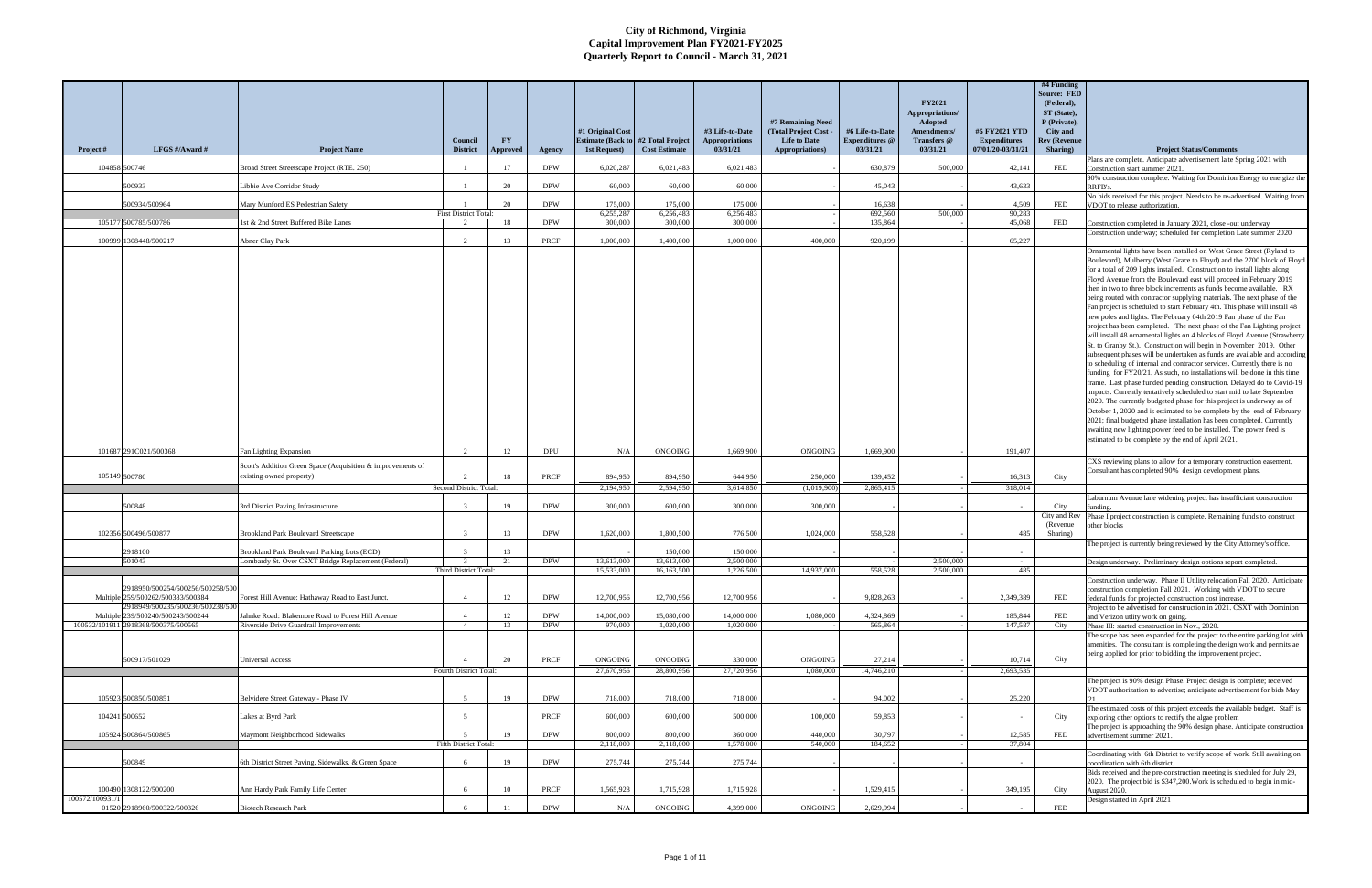|               |                                                                                                           |                                                                                                           | Council                         | <b>FY</b>       |                    | #1 Original Cost<br><b>Estimate (Back to)</b> | #2 Total Project      | #3 Life-to-Date<br><b>Appropriations</b> | #7 Remaining Need<br>(Total Project Cost -<br><b>Life to Date</b> | #6 Life-to-Date<br><b>Expenditures</b> @ | <b>FY2021</b><br><b>Appropriations/</b><br><b>Adopted</b><br>Amendments/<br>Transfers @ | #5 FY2021 YTD<br><b>Expenditures</b> | #4 Funding<br><b>Source: FED</b><br>(Federal),<br>ST (State),<br>P (Private),<br>City and<br><b>Rev (Revenue</b> |                                                                                                                                                                                                                                                                                                                                                                                                                                                                                                                                                                                                                                                                                                                                                                                                                                                                                                                                                                                                                                                                                                                                                                                                                                                                                                                                                                                                                                                                                                                                                                                         |
|---------------|-----------------------------------------------------------------------------------------------------------|-----------------------------------------------------------------------------------------------------------|---------------------------------|-----------------|--------------------|-----------------------------------------------|-----------------------|------------------------------------------|-------------------------------------------------------------------|------------------------------------------|-----------------------------------------------------------------------------------------|--------------------------------------|------------------------------------------------------------------------------------------------------------------|-----------------------------------------------------------------------------------------------------------------------------------------------------------------------------------------------------------------------------------------------------------------------------------------------------------------------------------------------------------------------------------------------------------------------------------------------------------------------------------------------------------------------------------------------------------------------------------------------------------------------------------------------------------------------------------------------------------------------------------------------------------------------------------------------------------------------------------------------------------------------------------------------------------------------------------------------------------------------------------------------------------------------------------------------------------------------------------------------------------------------------------------------------------------------------------------------------------------------------------------------------------------------------------------------------------------------------------------------------------------------------------------------------------------------------------------------------------------------------------------------------------------------------------------------------------------------------------------|
| Project #     | LFGS #/Award #                                                                                            | <b>Project Name</b>                                                                                       | <b>District</b>                 | <b>Approved</b> | Agency             | 1st Request)                                  | <b>Cost Estimate</b>  | 03/31/21                                 | Appropriations)                                                   | 03/31/21                                 | 03/31/21                                                                                | 07/01/20-03/31/21                    | Sharing)                                                                                                         | <b>Project Status/Comments</b><br>Plans are complete. Anticipate advertisement la'te Spring 2021 with                                                                                                                                                                                                                                                                                                                                                                                                                                                                                                                                                                                                                                                                                                                                                                                                                                                                                                                                                                                                                                                                                                                                                                                                                                                                                                                                                                                                                                                                                   |
| 104858 500746 |                                                                                                           | Broad Street Streetscape Project (RTE. 250)                                                               |                                 | 17              | <b>DPW</b>         | 6,020,287                                     | 6,021,483             | 6,021,483                                |                                                                   | 630,879                                  | 500,000                                                                                 | 42,141                               | <b>FED</b>                                                                                                       | Construction start summer 2021.<br>90% construction complete. Waiting for Dominion Energy to energize the                                                                                                                                                                                                                                                                                                                                                                                                                                                                                                                                                                                                                                                                                                                                                                                                                                                                                                                                                                                                                                                                                                                                                                                                                                                                                                                                                                                                                                                                               |
|               | 500933                                                                                                    | Libbie Ave Corridor Study                                                                                 | $\mathbf{1}$                    | 20              | <b>DPW</b>         | 60,000                                        | 60,000                | 60,000                                   |                                                                   | 45.043                                   |                                                                                         | 43.633                               |                                                                                                                  | RRFB's.                                                                                                                                                                                                                                                                                                                                                                                                                                                                                                                                                                                                                                                                                                                                                                                                                                                                                                                                                                                                                                                                                                                                                                                                                                                                                                                                                                                                                                                                                                                                                                                 |
|               | 500934/500964                                                                                             | Mary Munford ES Pedestrian Safety                                                                         |                                 | 20              | <b>DPW</b>         | 175,000                                       | 175,000               | 175,000                                  |                                                                   | 16.638                                   |                                                                                         | 4,509                                | FED                                                                                                              | No bids received for this project. Needs to be re-advertised. Waiting from<br>VDOT to release authorization.                                                                                                                                                                                                                                                                                                                                                                                                                                                                                                                                                                                                                                                                                                                                                                                                                                                                                                                                                                                                                                                                                                                                                                                                                                                                                                                                                                                                                                                                            |
|               | 105177 500785/500786                                                                                      | 1st & 2nd Street Buffered Bike Lanes                                                                      | First District Total:<br>2      | 18              | <b>DPW</b>         | 6,255,287<br>300,000                          | 6,256,483<br>300,000  | 6,256,483<br>300,000                     |                                                                   | 692,560<br>135,864                       | 500,000                                                                                 | 90.283<br>45.068                     | FED                                                                                                              |                                                                                                                                                                                                                                                                                                                                                                                                                                                                                                                                                                                                                                                                                                                                                                                                                                                                                                                                                                                                                                                                                                                                                                                                                                                                                                                                                                                                                                                                                                                                                                                         |
|               |                                                                                                           |                                                                                                           |                                 |                 |                    |                                               |                       |                                          |                                                                   |                                          |                                                                                         |                                      |                                                                                                                  | Construction completed in January 2021, close -out underway<br>Construction underway; scheduled for completion Late summer 2020                                                                                                                                                                                                                                                                                                                                                                                                                                                                                                                                                                                                                                                                                                                                                                                                                                                                                                                                                                                                                                                                                                                                                                                                                                                                                                                                                                                                                                                         |
| 100999        | 1308448/500217<br>101687 291C021/500368                                                                   | Abner Clay Park<br>Fan Lighting Expansion                                                                 | $\mathcal{D}$<br>$\overline{2}$ | 13<br>12        | PRCF<br><b>DPU</b> | 1,000,000<br>N/A                              | 1,400,000<br>ONGOING  | 1,000,000<br>1,669,900                   | 400,000<br>ONGOING                                                | 920,199<br>1,669,900                     |                                                                                         | 65,227<br>191,407                    |                                                                                                                  | Ornamental lights have been installed on West Grace Street (Ryland to<br>Boulevard), Mulberry (West Grace to Floyd) and the 2700 block of Floyd<br>for a total of 209 lights installed. Construction to install lights along<br>Floyd Avenue from the Boulevard east will proceed in February 2019<br>then in two to three block increments as funds become available. RX<br>being routed with contractor supplying materials. The next phase of the<br>Fan project is scheduled to start February 4th. This phase will install 48<br>new poles and lights. The February 04th 2019 Fan phase of the Fan<br>project has been completed. The next phase of the Fan Lighting project<br>will install 48 ornamental lights on 4 blocks of Floyd Avenue (Strawberry<br>St. to Granby St.). Construction will begin in November 2019. Other<br>subsequent phases will be undertaken as funds are available and according<br>to scheduling of internal and contractor services. Currently there is no<br>funding for FY20/21. As such, no installations will be done in this time<br>frame. Last phase funded pending construction. Delayed do to Covid-19<br>impacts. Currently tentatively scheduled to start mid to late September<br>2020. The currently budgeted phase for this project is underway as of<br>October 1, 2020 and is estimated to be complete by the end of February<br>2021; final budgeted phase installation has been completed. Currently<br>awaiting new lighting power feed to be installed. The power feed is<br>estimated to be complete by the end of April 2021. |
|               |                                                                                                           | Scott's Addition Green Space (Acquisition & improvements of                                               |                                 |                 |                    |                                               |                       |                                          |                                                                   |                                          |                                                                                         |                                      |                                                                                                                  | CXS reviewing plans to allow for a temporary construction easement.<br>Consultant has completed 90% design development plans.                                                                                                                                                                                                                                                                                                                                                                                                                                                                                                                                                                                                                                                                                                                                                                                                                                                                                                                                                                                                                                                                                                                                                                                                                                                                                                                                                                                                                                                           |
| 105149 500780 |                                                                                                           | existing owned property)                                                                                  |                                 | 18              | PRCF               | 894,950                                       | 894,950               | 644,950                                  | 250,000                                                           | 139,452                                  |                                                                                         | 16,313                               | City                                                                                                             |                                                                                                                                                                                                                                                                                                                                                                                                                                                                                                                                                                                                                                                                                                                                                                                                                                                                                                                                                                                                                                                                                                                                                                                                                                                                                                                                                                                                                                                                                                                                                                                         |
|               |                                                                                                           |                                                                                                           | Second District Total:          |                 |                    | 2,194,950                                     | 2,594,950             | 3,614,850                                | (1,019,900)                                                       | 2,865,415                                |                                                                                         | 318,014                              |                                                                                                                  | Laburnum Avenue lane widening project has insufficiant construction                                                                                                                                                                                                                                                                                                                                                                                                                                                                                                                                                                                                                                                                                                                                                                                                                                                                                                                                                                                                                                                                                                                                                                                                                                                                                                                                                                                                                                                                                                                     |
|               | 500848                                                                                                    | <b>Brd District Paving Infrastructure</b>                                                                 |                                 | 19              | <b>DPW</b>         | 300,000                                       | 600,000               | 300,000                                  | 300,000                                                           |                                          |                                                                                         |                                      | City<br>City and Rev                                                                                             | ınding<br>Phase I project construction is complete. Remaining funds to construct                                                                                                                                                                                                                                                                                                                                                                                                                                                                                                                                                                                                                                                                                                                                                                                                                                                                                                                                                                                                                                                                                                                                                                                                                                                                                                                                                                                                                                                                                                        |
|               |                                                                                                           |                                                                                                           |                                 |                 |                    |                                               |                       |                                          |                                                                   |                                          |                                                                                         |                                      | (Revenue)                                                                                                        | other blocks                                                                                                                                                                                                                                                                                                                                                                                                                                                                                                                                                                                                                                                                                                                                                                                                                                                                                                                                                                                                                                                                                                                                                                                                                                                                                                                                                                                                                                                                                                                                                                            |
|               | 102356 500496/500877                                                                                      | <b>Brookland Park Boulevard Streetscape</b>                                                               |                                 | 13              | <b>DPW</b>         | 1.620.000                                     | 1,800,500             | 776,500                                  | 1.024.000                                                         | 558,528                                  |                                                                                         | 485                                  | Sharing)                                                                                                         | The project is currently being reviewed by the City Attorney's office.                                                                                                                                                                                                                                                                                                                                                                                                                                                                                                                                                                                                                                                                                                                                                                                                                                                                                                                                                                                                                                                                                                                                                                                                                                                                                                                                                                                                                                                                                                                  |
|               | 2918100<br>501043                                                                                         | <b>Brookland Park Boulevard Parking Lots (ECD)</b><br>Lombardy St. Over CSXT Bridge Replacement (Federal) | $\mathcal{R}$                   | 13<br>21        | <b>DPW</b>         | 13.613.000                                    | 150,000<br>13,613,000 | 150,000<br>2,500,000                     |                                                                   |                                          | 2,500,000                                                                               | $\sim$                               |                                                                                                                  | Design underway. Preliminary design options report completed.                                                                                                                                                                                                                                                                                                                                                                                                                                                                                                                                                                                                                                                                                                                                                                                                                                                                                                                                                                                                                                                                                                                                                                                                                                                                                                                                                                                                                                                                                                                           |
|               |                                                                                                           |                                                                                                           | Third District Total:           |                 |                    | 15,533,000                                    | 16,163,500            | 1,226,500                                | 14,937,000                                                        | 558,528                                  | 2,500,000                                                                               | 485                                  |                                                                                                                  |                                                                                                                                                                                                                                                                                                                                                                                                                                                                                                                                                                                                                                                                                                                                                                                                                                                                                                                                                                                                                                                                                                                                                                                                                                                                                                                                                                                                                                                                                                                                                                                         |
|               | 2918950/500254/500256/500258/500<br>Multiple 259/500262/500383/500384<br>2918949/500235/500236/500238/500 | Forest Hill Avenue: Hathaway Road to East Junct.                                                          | $\overline{4}$                  | 12              | <b>DPW</b>         | 12,700,956                                    | 12,700,956            | 12,700,956                               |                                                                   | 9,828,263                                |                                                                                         | 2,349,389                            | FED                                                                                                              | onstruction underway. Phase II Utility relocation Fall 2020. Anticip<br>construction completion Fall 2021. Working with VDOT to secure<br>federal funds for projected construction cost increase.                                                                                                                                                                                                                                                                                                                                                                                                                                                                                                                                                                                                                                                                                                                                                                                                                                                                                                                                                                                                                                                                                                                                                                                                                                                                                                                                                                                       |
|               | Multiple 239/500240/500243/500244                                                                         | Jahnke Road: Blakemore Road to Forest Hill Avenue                                                         |                                 | 12              | <b>DPW</b>         | 14,000,000                                    | 15,080,000            | 14,000,000                               | 1.080.000                                                         | 4,324,869                                |                                                                                         | 185,844                              | <b>FED</b>                                                                                                       | Project to be advertised for construction in 2021. CSXT with Dominion<br>and Verizon utlity work on going.                                                                                                                                                                                                                                                                                                                                                                                                                                                                                                                                                                                                                                                                                                                                                                                                                                                                                                                                                                                                                                                                                                                                                                                                                                                                                                                                                                                                                                                                              |
|               | 100532/101911 2918368/500375/500565                                                                       | Riverside Drive Guardrail Improvements                                                                    | $\overline{4}$                  | 13              | <b>DPW</b>         | 970,000                                       | 1.020.000             | 1,020,000                                |                                                                   | 565,864                                  |                                                                                         | 147,587                              | City                                                                                                             | Phase III: started construction in Nov., 2020.<br>The scope has been expanded for the project to the entire parking lot with<br>amenities. The consultant is completing the design work and permits ae                                                                                                                                                                                                                                                                                                                                                                                                                                                                                                                                                                                                                                                                                                                                                                                                                                                                                                                                                                                                                                                                                                                                                                                                                                                                                                                                                                                  |
|               | 500917/501029                                                                                             | Universal Access                                                                                          |                                 | 20              | PRCF               | ONGOING                                       | ONGOING               | 330,000                                  | ONGOING                                                           | 27,214                                   |                                                                                         | 10,714                               | City                                                                                                             | being applied for prior to bidding the improvement project.                                                                                                                                                                                                                                                                                                                                                                                                                                                                                                                                                                                                                                                                                                                                                                                                                                                                                                                                                                                                                                                                                                                                                                                                                                                                                                                                                                                                                                                                                                                             |
|               |                                                                                                           |                                                                                                           | Fourth District Total:          |                 |                    | 27,670,956                                    | 28,800,956            | 27,720,956                               | 1,080,000                                                         | 14,746,210                               |                                                                                         | 2,693,535                            |                                                                                                                  | The project is 90% design Phase. Project design is complete; received                                                                                                                                                                                                                                                                                                                                                                                                                                                                                                                                                                                                                                                                                                                                                                                                                                                                                                                                                                                                                                                                                                                                                                                                                                                                                                                                                                                                                                                                                                                   |
|               |                                                                                                           |                                                                                                           |                                 |                 |                    |                                               |                       |                                          |                                                                   |                                          |                                                                                         |                                      |                                                                                                                  | VDOT authorization to advertise; anticipate advertisement for bids May                                                                                                                                                                                                                                                                                                                                                                                                                                                                                                                                                                                                                                                                                                                                                                                                                                                                                                                                                                                                                                                                                                                                                                                                                                                                                                                                                                                                                                                                                                                  |
|               | 105923 500850/500851                                                                                      | Belvidere Street Gateway - Phase IV                                                                       | $\leq$                          | 19              | <b>DPW</b>         | 718,000                                       | 718,000               | 718,000                                  |                                                                   | 94,002                                   |                                                                                         | 25,220                               |                                                                                                                  | The estimated costs of this project exceeds the available budget. Staff is                                                                                                                                                                                                                                                                                                                                                                                                                                                                                                                                                                                                                                                                                                                                                                                                                                                                                                                                                                                                                                                                                                                                                                                                                                                                                                                                                                                                                                                                                                              |
|               | 104241 500652                                                                                             | Lakes at Byrd Park                                                                                        | $\overline{5}$                  |                 | PRCF               | 600,000                                       | 600,000               | 500,000                                  | 100,000                                                           | 59,853                                   |                                                                                         |                                      | City                                                                                                             | exploring other options to rectify the algae problem<br>The project is approaching the 90% design phase. Anticipate construction                                                                                                                                                                                                                                                                                                                                                                                                                                                                                                                                                                                                                                                                                                                                                                                                                                                                                                                                                                                                                                                                                                                                                                                                                                                                                                                                                                                                                                                        |
|               | 105924 500864/500865                                                                                      | Maymont Neighborhood Sidewalks                                                                            |                                 | 19              | <b>DPW</b>         | 800,000                                       | 800,000               | 360,000                                  | 440,000                                                           | 30,797                                   |                                                                                         | 12,585                               | FED                                                                                                              | advertisement summer 2021.                                                                                                                                                                                                                                                                                                                                                                                                                                                                                                                                                                                                                                                                                                                                                                                                                                                                                                                                                                                                                                                                                                                                                                                                                                                                                                                                                                                                                                                                                                                                                              |
|               |                                                                                                           |                                                                                                           | Fifth District Total:           |                 |                    | 2,118,000                                     | 2,118,000             | 1,578,000                                | 540,000                                                           | 184,652                                  |                                                                                         | 37,804                               |                                                                                                                  | Coordinating with 6th District to verify scope of work. Still awaiting on                                                                                                                                                                                                                                                                                                                                                                                                                                                                                                                                                                                                                                                                                                                                                                                                                                                                                                                                                                                                                                                                                                                                                                                                                                                                                                                                                                                                                                                                                                               |
|               | 500849                                                                                                    | 6th District Street Paving, Sidewalks, & Green Space                                                      | -6                              | 19              | <b>DPW</b>         | 275,744                                       | 275,744               | 275,744                                  |                                                                   |                                          |                                                                                         |                                      |                                                                                                                  | coordination with 6th district.<br>Bids received and the pre-construction meeting is sheduled for July 29,                                                                                                                                                                                                                                                                                                                                                                                                                                                                                                                                                                                                                                                                                                                                                                                                                                                                                                                                                                                                                                                                                                                                                                                                                                                                                                                                                                                                                                                                              |
| 100572/100931 | 100490 1308122/500200                                                                                     | Ann Hardy Park Family Life Center                                                                         | 6                               | 10              | <b>PRCF</b>        | 1,565,928                                     | 1,715,928             | 1,715,928                                |                                                                   | 1,529,415                                |                                                                                         | 349,195                              | City                                                                                                             | 2020. The project bid is \$347,200. Work is scheduled to begin in mid-<br>August 2020.                                                                                                                                                                                                                                                                                                                                                                                                                                                                                                                                                                                                                                                                                                                                                                                                                                                                                                                                                                                                                                                                                                                                                                                                                                                                                                                                                                                                                                                                                                  |
|               | 01520 2918960/500322/500326                                                                               | <b>Biotech Research Park</b>                                                                              |                                 |                 | <b>DPW</b>         | N/A                                           | ONGOING               | 4,399,000                                | <b>ONGOING</b>                                                    | 2,629,994                                |                                                                                         |                                      | FED                                                                                                              | Design started in April 2021                                                                                                                                                                                                                                                                                                                                                                                                                                                                                                                                                                                                                                                                                                                                                                                                                                                                                                                                                                                                                                                                                                                                                                                                                                                                                                                                                                                                                                                                                                                                                            |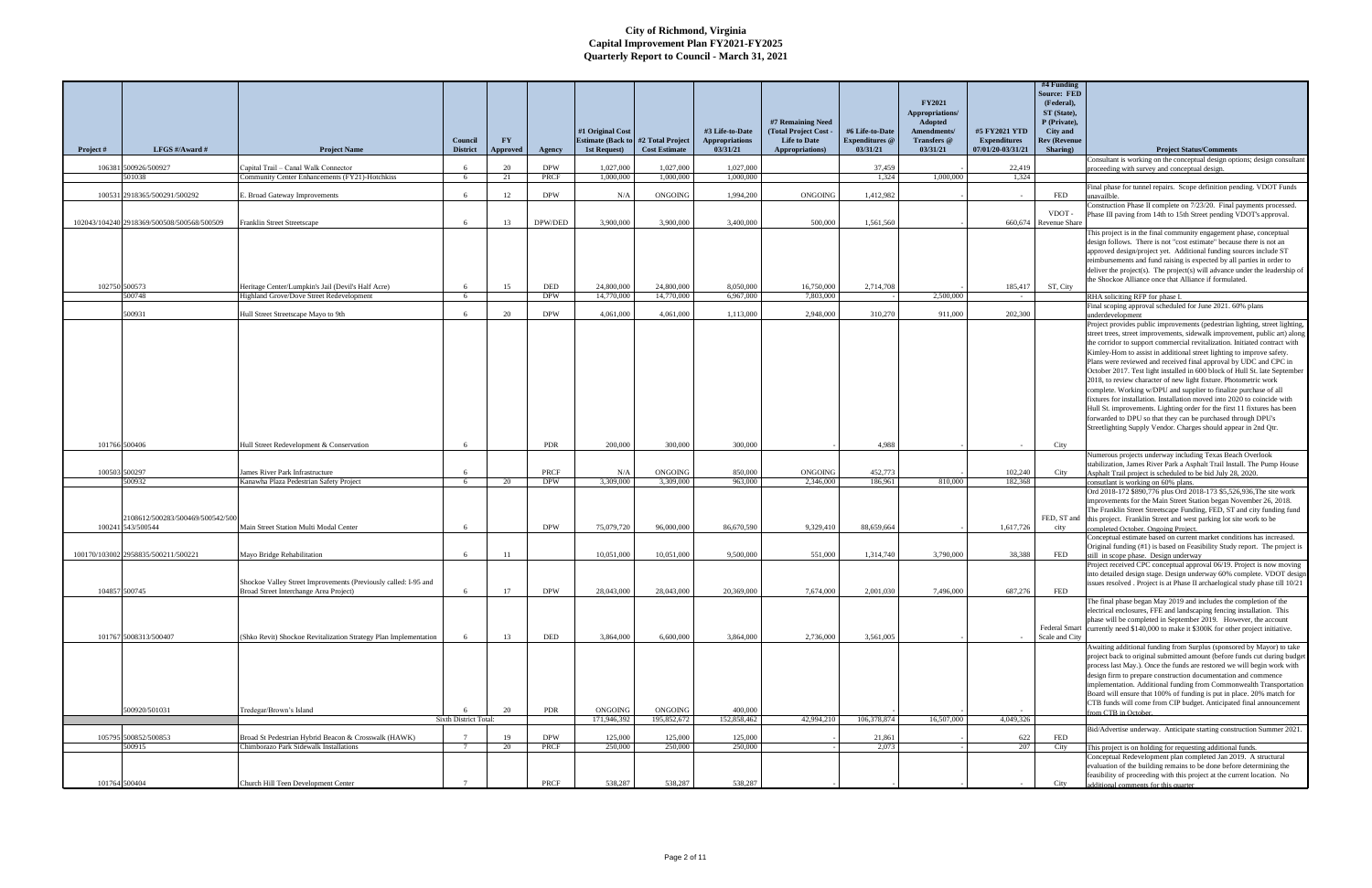|               | LFGS #/Award #                                        |                                                                                                           | Council               | <b>FY</b>       |                    | #1 Original Cost<br><b>Estimate (Back to)</b> | #2 Total Project        | #3 Life-to-Date<br><b>Appropriations</b><br>03/31/21 | #7 Remaining Need<br>(Total Project Cost -<br><b>Life to Date</b> | #6 Life-to-Date<br><b>Expenditures</b> @ | <b>FY2021</b><br>Appropriations/<br>Adopted<br><b>Amendments/</b><br>Transfers @ | #5 FY2021 YTD<br><b>Expenditures</b><br>07/01/20-03/31/21 | #4 Funding<br>Source: FED<br>(Federal),<br>ST (State),<br>P (Private),<br><b>City</b> and<br><b>Rev (Revenue</b> |                                                                                                                                                                                                                                                                                                                                                                                                                                                                                                                                                                                                                                                                                                                                                                                                                                                                                                         |
|---------------|-------------------------------------------------------|-----------------------------------------------------------------------------------------------------------|-----------------------|-----------------|--------------------|-----------------------------------------------|-------------------------|------------------------------------------------------|-------------------------------------------------------------------|------------------------------------------|----------------------------------------------------------------------------------|-----------------------------------------------------------|------------------------------------------------------------------------------------------------------------------|---------------------------------------------------------------------------------------------------------------------------------------------------------------------------------------------------------------------------------------------------------------------------------------------------------------------------------------------------------------------------------------------------------------------------------------------------------------------------------------------------------------------------------------------------------------------------------------------------------------------------------------------------------------------------------------------------------------------------------------------------------------------------------------------------------------------------------------------------------------------------------------------------------|
| Project #     |                                                       | <b>Project Name</b>                                                                                       | <b>District</b>       | <b>Approved</b> | Agency             | 1st Request)                                  | <b>Cost Estimate</b>    |                                                      | Appropriations)                                                   | 03/31/21                                 | 03/31/21                                                                         |                                                           | Sharing)                                                                                                         | <b>Project Status/Comments</b><br>Consultant is working on the conceptual design options; design consultant                                                                                                                                                                                                                                                                                                                                                                                                                                                                                                                                                                                                                                                                                                                                                                                             |
| 106381        | 500926/500927<br>501038                               | Capital Trail - Canal Walk Connector<br>Community Center Enhancements (FY21)-Hotchkiss                    | -6<br>6               | 20<br>21        | <b>DPW</b><br>PRCF | 1,027,000<br>1,000,000                        | 1,027,000<br>1,000,000  | 1,027,000<br>1,000,000                               |                                                                   | 37,459<br>1,324                          | 1,000,000                                                                        | 22,419<br>1,324                                           |                                                                                                                  | proceeding with survey and conceptual design.                                                                                                                                                                                                                                                                                                                                                                                                                                                                                                                                                                                                                                                                                                                                                                                                                                                           |
|               |                                                       |                                                                                                           |                       |                 |                    |                                               |                         |                                                      |                                                                   |                                          |                                                                                  |                                                           |                                                                                                                  | Final phase for tunnel repairs. Scope definition pending. VDOT Funds                                                                                                                                                                                                                                                                                                                                                                                                                                                                                                                                                                                                                                                                                                                                                                                                                                    |
|               | 100531 2918365/500291/500292                          | . Broad Gateway Improvements                                                                              | -6                    | 12              | <b>DPW</b>         | N/A                                           | <b>ONGOING</b>          | 1,994,200                                            | ONGOING                                                           | 1,412,982                                |                                                                                  |                                                           | <b>FED</b>                                                                                                       | ınavailble<br>Construction Phase II complete on 7/23/20. Final payments processed.                                                                                                                                                                                                                                                                                                                                                                                                                                                                                                                                                                                                                                                                                                                                                                                                                      |
|               | 102043/104240 2918369/500508/500568/500509            | Franklin Street Streetscape                                                                               | - 6                   | 13              | DPW/DED            | 3,900,000                                     | 3,900,000               | 3,400,000                                            | 500,000                                                           | 1.561.560                                |                                                                                  |                                                           | VDOT-<br>660,674 Revenue Share                                                                                   | Phase III paving from 14th to 15th Street pending VDOT's approval.                                                                                                                                                                                                                                                                                                                                                                                                                                                                                                                                                                                                                                                                                                                                                                                                                                      |
| 102750 500573 |                                                       | Heritage Center/Lumpkin's Jail (Devil's Half Acre)                                                        | -6                    | 15              | DED                | 24,800,000                                    | 24,800,000              | 8,050,000                                            | 16,750,000                                                        | 2,714,708                                |                                                                                  | 185,417                                                   | ST, City                                                                                                         | This project is in the final community engagement phase, conceptual<br>design follows. There is not "cost estimate" because there is not an<br>approved design/project yet. Additional funding sources include ST<br>reimbursements and fund raising is expected by all parties in order to<br>deliver the project(s). The project(s) will advance under the leadership of<br>the Shockoe Alliance once that Alliance if formulated.                                                                                                                                                                                                                                                                                                                                                                                                                                                                    |
|               | 500748                                                | Highland Grove/Dove Street Redevelopment                                                                  | -6                    |                 | <b>DPW</b>         | 14,770,000                                    | 14,770,000              | 6,967,000                                            | 7,803,000                                                         |                                          | 2,500,000                                                                        |                                                           |                                                                                                                  | RHA soliciting RFP for phase I.                                                                                                                                                                                                                                                                                                                                                                                                                                                                                                                                                                                                                                                                                                                                                                                                                                                                         |
|               | 500931                                                | Hull Street Streetscape Mayo to 9th                                                                       | 6                     | 20              | <b>DPW</b>         | 4.061.000                                     | 4.061.000               | 1.113.000                                            | 2.948.000                                                         | 310.270                                  | 911,000                                                                          | 202,300                                                   |                                                                                                                  | Final scoping approval scheduled for June 2021. 60% plans<br>underdevelopment                                                                                                                                                                                                                                                                                                                                                                                                                                                                                                                                                                                                                                                                                                                                                                                                                           |
|               |                                                       |                                                                                                           |                       |                 |                    |                                               |                         |                                                      |                                                                   |                                          |                                                                                  |                                                           |                                                                                                                  | Project provides public improvements (pedestrian lighting, street lighting,<br>street trees, street improvements, sidewalk improvement, public art) along<br>the corridor to support commercial revitalization. Initiated contract with<br>Kimley-Horn to assist in additional street lighting to improve safety.<br>Plans were reviewed and received final approval by UDC and CPC in<br>October 2017. Test light installed in 600 block of Hull St. late September<br>2018, to review character of new light fixture. Photometric work<br>complete. Working w/DPU and supplier to finalize purchase of all<br>fixtures for installation. Installation moved into 2020 to coincide with<br>Hull St. improvements. Lighting order for the first 11 fixtures has been<br>forwarded to DPU so that they can be purchased through DPU's<br>Streetlighting Supply Vendor. Charges should appear in 2nd Qtr. |
|               | 101766 500406                                         | Hull Street Redevelopment & Conservation                                                                  | -6                    |                 | <b>PDR</b>         | 200,000                                       | 300,000                 | 300,000                                              |                                                                   | 4.988                                    |                                                                                  |                                                           | City                                                                                                             |                                                                                                                                                                                                                                                                                                                                                                                                                                                                                                                                                                                                                                                                                                                                                                                                                                                                                                         |
|               |                                                       |                                                                                                           |                       |                 |                    |                                               |                         |                                                      |                                                                   |                                          |                                                                                  |                                                           |                                                                                                                  | Numerous projects underway including Texas Beach Overlook                                                                                                                                                                                                                                                                                                                                                                                                                                                                                                                                                                                                                                                                                                                                                                                                                                               |
| 100503 500297 |                                                       | James River Park Infrastructure                                                                           | 6                     |                 | PRCF               | N/A                                           | ONGOING                 | 850,000                                              | ONGOING                                                           | 452,773                                  |                                                                                  | 102,240                                                   | City                                                                                                             | stabilization, James River Park a Asphalt Trail Install. The Pump House<br>Asphalt Trail project is scheduled to be bid July 28, 2020.                                                                                                                                                                                                                                                                                                                                                                                                                                                                                                                                                                                                                                                                                                                                                                  |
|               | 500932                                                | Kanawha Plaza Pedestrian Safety Project                                                                   | 6                     | 20              | <b>DPW</b>         | 3,309,000                                     | 3.309.000               | 963.000                                              | 2,346,000                                                         | 186.961                                  | 810,000                                                                          | 182.368                                                   |                                                                                                                  | consutlant is working on 60% plans.<br>Ord 2018-172 \$890,776 plus Ord 2018-173 \$5,526,936, The site work                                                                                                                                                                                                                                                                                                                                                                                                                                                                                                                                                                                                                                                                                                                                                                                              |
|               | 2108612/500283/500469/500542/500<br>100241 543/500544 | Main Street Station Multi Modal Center                                                                    | -6                    |                 | <b>DPW</b>         | 75,079,720                                    | 96,000,000              | 86,670,590                                           | 9,329,410                                                         | 88,659,664                               |                                                                                  | 1,617,726                                                 | city                                                                                                             | improvements for the Main Street Station began November 26, 2018.<br>The Franklin Street Streetscape Funding, FED, ST and city funding fund<br>FED, ST and this project. Franklin Street and west parking lot site work to be<br>completed October. Ongoing Project.                                                                                                                                                                                                                                                                                                                                                                                                                                                                                                                                                                                                                                    |
|               |                                                       |                                                                                                           |                       |                 |                    |                                               |                         |                                                      |                                                                   |                                          |                                                                                  |                                                           |                                                                                                                  | Conceptual estimate based on current market conditions has increased.<br>Original funding (#1) is based on Feasibility Study report. The project is                                                                                                                                                                                                                                                                                                                                                                                                                                                                                                                                                                                                                                                                                                                                                     |
|               | 100170/103002 2958835/500211/500221                   | Mayo Bridge Rehabilitation                                                                                | -6                    | -11             |                    | 10,051,000                                    | 10,051,000              | 9.500,000                                            | 551,000                                                           | 1,314,740                                | 3.790.000                                                                        | 38.388                                                    | FED                                                                                                              | still in scope phase. Design underway                                                                                                                                                                                                                                                                                                                                                                                                                                                                                                                                                                                                                                                                                                                                                                                                                                                                   |
|               |                                                       |                                                                                                           |                       |                 |                    |                                               |                         |                                                      |                                                                   |                                          |                                                                                  |                                                           |                                                                                                                  | Project received CPC conceptual approval 06/19. Project is now moving<br>into detailed design stage. Design underway 60% complete. VDOT design                                                                                                                                                                                                                                                                                                                                                                                                                                                                                                                                                                                                                                                                                                                                                          |
|               |                                                       | Shockoe Valley Street Improvements (Previously called: 1-95 and                                           |                       |                 |                    |                                               |                         |                                                      |                                                                   |                                          |                                                                                  |                                                           |                                                                                                                  | issues resolved. Project is at Phase II archaelogical study phase till 10/21                                                                                                                                                                                                                                                                                                                                                                                                                                                                                                                                                                                                                                                                                                                                                                                                                            |
|               | 104857 500745<br>101767 5008313/500407                | Broad Street Interchange Area Project)<br>Shko Revit) Shockoe Revitalization Strategy Plan Implementation | -6<br><b>6</b>        | 17<br>13        | <b>DPW</b><br>DED  | 28,043,000<br>3.864,000                       | 28,043,000<br>6,600,000 | 20,369,000<br>3,864,000                              | 7,674,000<br>2,736,000                                            | 2,001,030<br>3,561,005                   | 7,496,000                                                                        | 687,276                                                   | <b>FED</b><br>Federal Smart<br>Scale and City                                                                    | The final phase began May 2019 and includes the completion of the<br>electrical enclosures, FFE and landscaping fencing installation. This<br>phase will be completed in September 2019. However, the account<br>currently need \$140,000 to make it \$300K for other project initiative.                                                                                                                                                                                                                                                                                                                                                                                                                                                                                                                                                                                                               |
|               |                                                       |                                                                                                           |                       |                 |                    |                                               |                         |                                                      |                                                                   |                                          |                                                                                  |                                                           |                                                                                                                  | Awaiting additional funding from Surplus (sponsored by Mayor) to take                                                                                                                                                                                                                                                                                                                                                                                                                                                                                                                                                                                                                                                                                                                                                                                                                                   |
|               | 500920/501031                                         | Tredegar/Brown's Island                                                                                   |                       | 20              | <b>PDR</b>         | <b>ONGOING</b>                                | ONGOING                 | 400,000                                              |                                                                   |                                          |                                                                                  |                                                           |                                                                                                                  | project back to original submitted amount (before funds cut during budget<br>process last May.). Once the funds are restored we will begin work with<br>design firm to prepare construction documentation and commence<br>implementation. Additional funding from Commonwealth Transportation<br>Board will ensure that 100% of funding is put in place. 20% match for<br>CTB funds will come from CIP budget. Anticipated final announcement<br>om CTB in October.                                                                                                                                                                                                                                                                                                                                                                                                                                     |
|               |                                                       |                                                                                                           | Sixth District Total: |                 |                    | 171,946,392                                   | 195,852,672             | 152,858,462                                          | 42,994,210                                                        | 106,378,874                              | 16,507,000                                                                       | 4,049,326                                                 |                                                                                                                  | Bid/Advertise underway. Anticipate starting construction Summer 2021                                                                                                                                                                                                                                                                                                                                                                                                                                                                                                                                                                                                                                                                                                                                                                                                                                    |
|               | 105795 500852/500853                                  | Broad St Pedestrian Hybrid Beacon & Crosswalk (HAWK)                                                      | $\overline{7}$        | 19              | <b>DPW</b>         | 125,000                                       | 125,000                 | 125,000                                              |                                                                   | 21,861                                   |                                                                                  | 622                                                       | FED                                                                                                              |                                                                                                                                                                                                                                                                                                                                                                                                                                                                                                                                                                                                                                                                                                                                                                                                                                                                                                         |
|               | 500915                                                | Chimborazo Park Sidewalk Installations                                                                    | $7\overline{ }$       | 20              | PRCF               | 250,000                                       | 250,000                 | 250,000                                              |                                                                   | 2,073                                    |                                                                                  | 207                                                       | City                                                                                                             | This project is on holding for requesting additional funds.<br>Conceptual Redevelopment plan completed Jan 2019. A structural                                                                                                                                                                                                                                                                                                                                                                                                                                                                                                                                                                                                                                                                                                                                                                           |
|               |                                                       |                                                                                                           |                       |                 |                    |                                               |                         |                                                      |                                                                   |                                          |                                                                                  |                                                           |                                                                                                                  | evaluation of the building remains to be done before determining the                                                                                                                                                                                                                                                                                                                                                                                                                                                                                                                                                                                                                                                                                                                                                                                                                                    |
|               | 101764 500404                                         | Church Hill Teen Development Center                                                                       |                       |                 | PRCF               | 538,287                                       | 538,287                 | 538,287                                              |                                                                   |                                          |                                                                                  |                                                           | City                                                                                                             | feasibility of proceeding with this project at the current location. No<br>additional comments for this quarter                                                                                                                                                                                                                                                                                                                                                                                                                                                                                                                                                                                                                                                                                                                                                                                         |
|               |                                                       |                                                                                                           |                       |                 |                    |                                               |                         |                                                      |                                                                   |                                          |                                                                                  |                                                           |                                                                                                                  |                                                                                                                                                                                                                                                                                                                                                                                                                                                                                                                                                                                                                                                                                                                                                                                                                                                                                                         |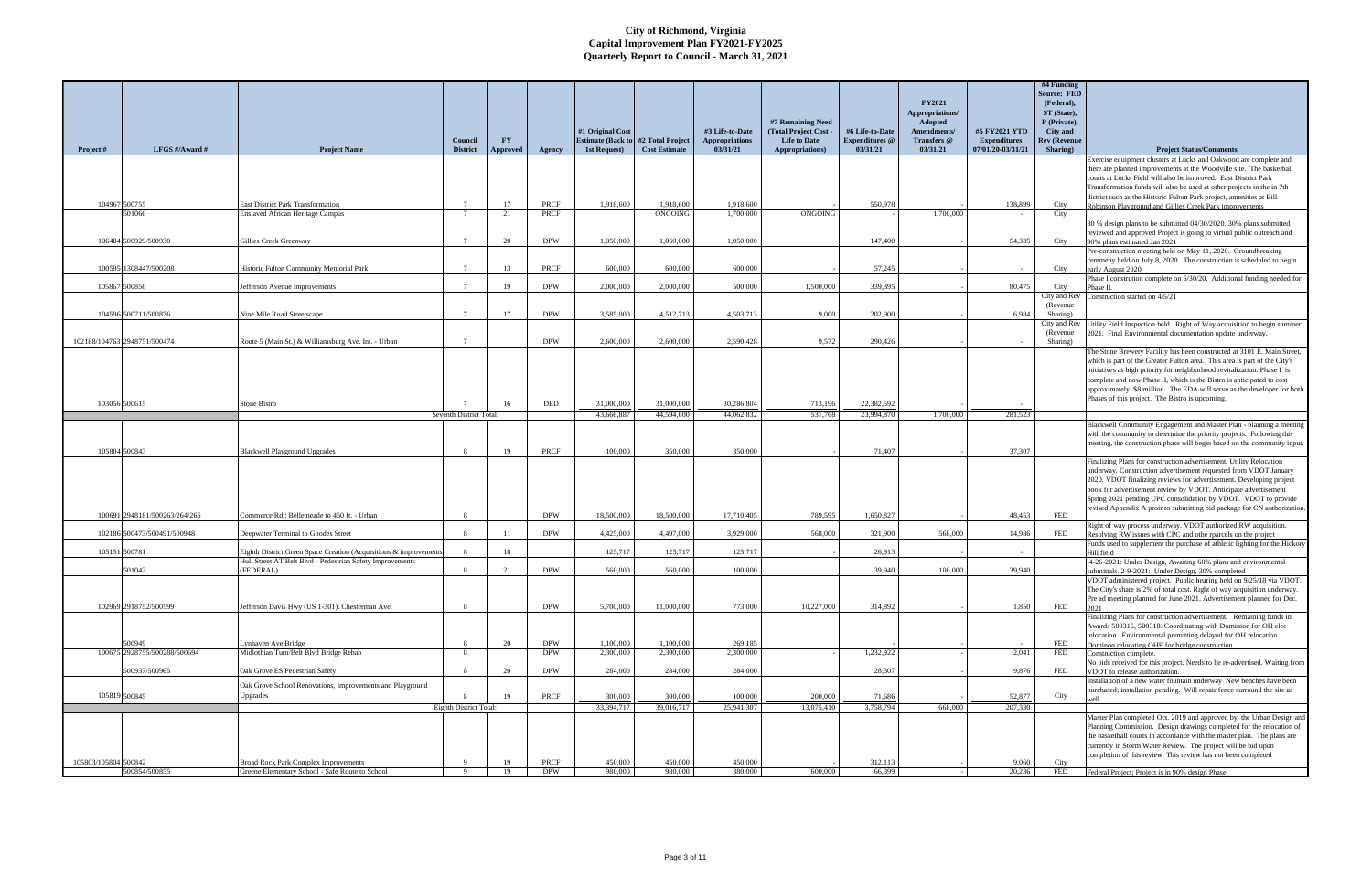|                      |                               |                                                                                                                                 |                         |               |                             |                          |                      |                       |                                          |                       |                               |                     | #4 Funding<br><b>Source: FED</b> |                                                                                                                                                      |
|----------------------|-------------------------------|---------------------------------------------------------------------------------------------------------------------------------|-------------------------|---------------|-----------------------------|--------------------------|----------------------|-----------------------|------------------------------------------|-----------------------|-------------------------------|---------------------|----------------------------------|------------------------------------------------------------------------------------------------------------------------------------------------------|
|                      |                               |                                                                                                                                 |                         |               |                             |                          |                      |                       |                                          |                       | <b>FY2021</b>                 |                     | (Federal),                       |                                                                                                                                                      |
|                      |                               |                                                                                                                                 |                         |               |                             |                          |                      |                       |                                          |                       | Appropriations/               |                     | ST (State),<br>P (Private),      |                                                                                                                                                      |
|                      |                               |                                                                                                                                 |                         |               |                             | #1 Original Cost         |                      | #3 Life-to-Date       | #7 Remaining Need<br>(Total Project Cost | #6 Life-to-Date       | <b>Adopted</b><br>Amendments/ | #5 FY2021 YTD       | City and                         |                                                                                                                                                      |
|                      |                               |                                                                                                                                 | Council                 | <b>FY</b>     |                             | <b>Estimate (Back to</b> | #2 Total Project     | <b>Appropriations</b> | <b>Life to Date</b>                      | <b>Expenditures</b> @ | Transfers @                   | <b>Expenditures</b> | <b>Rev (Revenue</b>              |                                                                                                                                                      |
| Project #            | LFGS #/Award #                | <b>Project Name</b>                                                                                                             | <b>District</b>         | Approved      | Agency                      | 1st Request)             | <b>Cost Estimate</b> | 03/31/21              | Appropriations)                          | 03/31/21              | 03/31/21                      | 07/01/20-03/31/21   | Sharing)                         | <b>Project Status/Comments</b><br>Exercise equipment clusters at Lucks and Oakwood are complete and                                                  |
|                      |                               |                                                                                                                                 |                         |               |                             |                          |                      |                       |                                          |                       |                               |                     |                                  | there are planned improvements at the Woodville site. The basketball                                                                                 |
|                      |                               |                                                                                                                                 |                         |               |                             |                          |                      |                       |                                          |                       |                               |                     |                                  | courts at Lucks Field will also be improved. East District Park                                                                                      |
|                      |                               |                                                                                                                                 |                         |               |                             |                          |                      |                       |                                          |                       |                               |                     |                                  | Transformation funds will also be used at other projects in the in 7th<br>district such as the Historic Fulton Park project, amenities at Bill       |
|                      | 104967 500755                 | <b>East District Park Transformation</b>                                                                                        | $7\phantom{.0}$         | 17            | PRCF                        | 1,918,600                | 1,918,600            | 1,918,600             |                                          | 550,978               |                               | 138,899             | City                             | Robinson Playground and Gillies Creek Park improvements                                                                                              |
|                      | 501066                        | <b>Enslaved African Heritage Campus</b>                                                                                         | $7\phantom{.0}$         | 21            | PRCF                        |                          | <b>ONGOING</b>       | 1,700,000             | ONGOING                                  |                       | 1,700,000                     | $\sim$              | City                             |                                                                                                                                                      |
|                      |                               |                                                                                                                                 |                         |               |                             |                          |                      |                       |                                          |                       |                               |                     |                                  | 30 % design plans to be submitted 04/30/2020. 30% plans submitted<br>reviewed and approved Project is going to virtual public outreach and           |
|                      | 106484 500929/500930          | Gillies Creek Greenway                                                                                                          | $7\phantom{.0}$         | 20            | <b>DPW</b>                  | 1.050.000                | 1.050.000            | 1.050.000             |                                          | 147,400               |                               | 54,335              | City                             | 90% plans estimated Jan 2021                                                                                                                         |
|                      |                               |                                                                                                                                 |                         |               |                             |                          |                      |                       |                                          |                       |                               |                     |                                  | Pre-construction meeting held on May 11, 2020. Groundbreaking<br>ceremeny held on July 8, 2020. The construction is scheduled to begin               |
|                      | 100595 1308447/500208         | Historic Fulton Community Memorial Park                                                                                         | $\overline{7}$          | 13            | <b>PRCF</b>                 | 600,000                  | 600,000              | 600,000               |                                          | 57,245                |                               |                     | City                             | early August 2020.                                                                                                                                   |
|                      |                               |                                                                                                                                 |                         |               |                             |                          |                      |                       |                                          |                       |                               |                     |                                  | Phase I constrution complete on 6/30/20. Additional funding needed for                                                                               |
|                      | 105867 500856                 | Jefferson Avenue Improvements                                                                                                   | $\mathcal{I}$           | 19            | <b>DPW</b>                  | 2,000,000                | 2,000,000            | 500,000               | 1,500,000                                | 339.395               |                               | 80,475              | City<br>City and Rev             | Construction started on 4/5/21                                                                                                                       |
|                      |                               |                                                                                                                                 |                         |               |                             |                          |                      |                       |                                          |                       |                               |                     | (Revenue)                        |                                                                                                                                                      |
|                      | 104596 500711/500876          | Nine Mile Road Streetscape                                                                                                      | $7\phantom{.0}$         | 17            | <b>DPW</b>                  | 3.585,000                | 4.512.713            | 4.503.713             | 9.000                                    | 202,900               |                               | 6.984               | Sharing)                         |                                                                                                                                                      |
|                      |                               |                                                                                                                                 |                         |               |                             |                          |                      |                       |                                          |                       |                               |                     | City and Rev<br>(Revenue)        | Utility Field Inspection held. Right of Way acquisition to begin summer<br>2021. Final Environmental documentation update underway.                  |
|                      | 102188/104763 2948751/500474  | Route 5 (Main St.) & Williamsburg Ave. Int. - Urban                                                                             | $7\phantom{.0}$         |               | <b>DPW</b>                  | 2,600,000                | 2,600,000            | 2,590,428             | 9,572                                    | 290,426               |                               |                     | Sharing)                         |                                                                                                                                                      |
|                      |                               |                                                                                                                                 |                         |               |                             |                          |                      |                       |                                          |                       |                               |                     |                                  | The Stone Brewery Facility has been constructed at 3101 E. Main Street,<br>which is part of the Greater Fulton area. This area is part of the City's |
|                      |                               |                                                                                                                                 |                         |               |                             |                          |                      |                       |                                          |                       |                               |                     |                                  | initiatives as high priority for neighborhood revitalization. Phase I is                                                                             |
|                      |                               |                                                                                                                                 |                         |               |                             |                          |                      |                       |                                          |                       |                               |                     |                                  | complete and now Phase II, which is the Bistro is anticipated to cost                                                                                |
|                      |                               |                                                                                                                                 |                         |               |                             |                          |                      |                       |                                          |                       |                               |                     |                                  | approximately \$8 million. The EDA will serve as the developer for both<br>Phases of this project. The Bistro is upcoming.                           |
|                      | 103056 500615                 | Stone Bistro                                                                                                                    |                         | 16            | $\ensuremath{\mathsf{DED}}$ | 31,000,000               | 31,000,000           | 30,286,804            | 713,196                                  | 22,382,592            |                               |                     |                                  |                                                                                                                                                      |
|                      |                               |                                                                                                                                 | Seventh District Total: |               |                             | 43,666,887               | 44.594,600           | 44.062.832            | 531,768                                  | 23,994,870            | 1,700,000                     | 281,523             |                                  |                                                                                                                                                      |
|                      |                               |                                                                                                                                 |                         |               |                             |                          |                      |                       |                                          |                       |                               |                     |                                  | Blackwell Community Engagement and Master Plan - planning a meeting<br>with the community to determine the priority projects. Following this         |
|                      |                               |                                                                                                                                 |                         |               |                             |                          |                      |                       |                                          |                       |                               |                     |                                  | meeting, the construction phase will begin based on the community input.                                                                             |
|                      | 105804 500843                 | <b>Blackwell Playground Upgrades</b>                                                                                            | 8                       | 19            | PRCF                        | 100,000                  | 350,000              | 350,000               |                                          | 71,407                |                               | 37,307              |                                  | Finalizing Plans for construction advertisement. Utility Relocation                                                                                  |
|                      |                               |                                                                                                                                 |                         |               |                             |                          |                      |                       |                                          |                       |                               |                     |                                  | underway. Construction advertisement requested from VDOT January                                                                                     |
|                      |                               |                                                                                                                                 |                         |               |                             |                          |                      |                       |                                          |                       |                               |                     |                                  | 2020. VDOT finalizing reviews for advertisement. Developing project                                                                                  |
|                      |                               |                                                                                                                                 |                         |               |                             |                          |                      |                       |                                          |                       |                               |                     |                                  | book for advertisement review by VDOT. Anticipate advertisement<br>Spring 2021 pending UPC consolidation by VDOT. VDOT to provide                    |
|                      |                               |                                                                                                                                 |                         |               |                             |                          |                      |                       |                                          |                       |                               |                     |                                  | revised Appendix A proir to submitting bid package for CN authorization.                                                                             |
|                      | 100691 2948181/500263/264/265 | ommerce Rd.: Bellemeade to 450 ft. - Urban                                                                                      |                         |               | <b>DPW</b>                  | 18,500,000               | 18,500,000           | 17,710,405            | 789,595                                  | 1.650.827             |                               | 48,453              | <b>FED</b>                       |                                                                                                                                                      |
|                      | 102186 500473/500491/500948   | Deepwater Terminal to Goodes Street                                                                                             | $\mathbf{8}$            | <sup>11</sup> | <b>DPW</b>                  | 4,425,000                | 4,497,000            | 3,929,000             | 568,000                                  | 321,900               | 568,000                       | 14,986              | FED                              | Right of way process underway. VDOT authorized RW acquisition.<br>Resolving RW issues with CPC and othe rparcels on the project                      |
|                      |                               |                                                                                                                                 |                         |               |                             |                          |                      |                       |                                          |                       |                               |                     |                                  | Funds used to supplement the purchase of athletic lighting for the Hickory                                                                           |
|                      | 105151 500781                 | Eighth District Green Space Creation (Acquisitions & improvements)<br>Hull Street AT Belt Blvd - Pedestrian Safety Improvements | $\mathbf{R}$            | 18            |                             | 125,717                  | 125,717              | 125,717               |                                          | 26.913                |                               |                     |                                  | Hill field<br>4-26-2021: Under Design, Awaiting 60% plans and environmental                                                                          |
|                      | 501042                        | (FEDERAL)                                                                                                                       | $\mathbf{\mathcal{R}}$  | 21            | <b>DPW</b>                  | 560,000                  | 560,000              | 100,000               |                                          | 39.940                | 100,000                       | 39,940              |                                  | submittals. 2-9-2021: Under Design, 30% completed                                                                                                    |
|                      |                               |                                                                                                                                 |                         |               |                             |                          |                      |                       |                                          |                       |                               |                     |                                  | VDOT administered project. Public hearing held on 9/25/18 via VDOT.                                                                                  |
|                      |                               |                                                                                                                                 |                         |               |                             |                          |                      |                       |                                          |                       |                               |                     |                                  | The City's share is 2% of total cost. Right of way acquisition underway.<br>Pre ad meeting planned for June 2021. Advertisement planned for Dec.     |
|                      | 102969 2918752/500599         | Jefferson Davis Hwy (US 1-301): Chesterman Ave.                                                                                 | -8                      |               | <b>DPW</b>                  | 5,700,000                | 11,000,000           | 773,000               | 10,227,000                               | 314,892               |                               | 1,850               | FED                              |                                                                                                                                                      |
|                      |                               |                                                                                                                                 |                         |               |                             |                          |                      |                       |                                          |                       |                               |                     |                                  | Finalizing Plans for construction advertisement. Remaining funds in<br>Awards 500315, 500318. Coordinating with Dominion for OH elec                 |
|                      |                               |                                                                                                                                 |                         |               |                             |                          |                      |                       |                                          |                       |                               |                     |                                  | relocation. Environmental permitting delayed for OH relocation.                                                                                      |
|                      | 500949                        | vnhaven Ave Bridge                                                                                                              | $\mathbf{8}$            | 20            | <b>DPW</b>                  | 1,100,000                | 1,100,000            | 269,185               |                                          |                       |                               |                     | FED                              | Dominon relocating OHE for bridge construction.                                                                                                      |
|                      | 100675 2928755/500288/500694  | Midlothian Turn/Belt Blvd Bridge Rehab                                                                                          | 8                       |               | <b>DPW</b>                  | 2,300,000                | 2,300,000            | 2,300,000             |                                          | 1,232,922             |                               | 2,041               | FED                              | Construction complete.<br>No bids received for this project. Needs to be re-advertised. Waiting from                                                 |
|                      | 500937/500965                 | Oak Grove ES Pedestrian Safety                                                                                                  | $\mathbf{R}$            | 20            | <b>DPW</b>                  | 284,000                  | 284,000              | 284,000               |                                          | 28,307                |                               | 9.876               | FED                              | VDOT to release authorization.                                                                                                                       |
|                      |                               | Oak Grove School Renovations, Improvements and Playground                                                                       |                         |               |                             |                          |                      |                       |                                          |                       |                               |                     |                                  | Installation of a new water fountain underway New benches have been                                                                                  |
|                      | 105819 500845                 | Upgrades                                                                                                                        |                         | 19            | PRCF                        | 300,000                  | 300,000              | 100,000               | 200,000                                  | 71,686                |                               | 52,877              | City                             | purchased; installation pending. Will repair fence surround the site as                                                                              |
|                      |                               |                                                                                                                                 | Eighth District Total:  |               |                             | 33,394,717               | 39,016,717           | 25,941,307            | 13,075,410                               | 3,758,794             | 668,000                       | 207,330             |                                  |                                                                                                                                                      |
|                      |                               |                                                                                                                                 |                         |               |                             |                          |                      |                       |                                          |                       |                               |                     |                                  | Master Plan completed Oct. 2019 and approved by the Urban Design and<br>Planning Commission. Design drawings completed for the relocation of         |
|                      |                               |                                                                                                                                 |                         |               |                             |                          |                      |                       |                                          |                       |                               |                     |                                  | the basketball courts in accordance with the master plan. The plans are                                                                              |
|                      |                               |                                                                                                                                 |                         |               |                             |                          |                      |                       |                                          |                       |                               |                     |                                  | currently in Storm Water Review. The project will be bid upon                                                                                        |
| 105803/105804 500842 |                               | <b>Broad Rock Park Complex Improvements</b>                                                                                     | $\mathbf{Q}$            | 19            | PRCF                        | 450,000                  | 450,000              | 450,000               |                                          | 312,113               |                               | 9,060               | City                             | completion of this review. This review has not been completed                                                                                        |
|                      | 500854/500855                 | Greene Elementary School - Safe Route to School                                                                                 | $\mathbf{Q}$            | -19           | <b>DPW</b>                  | 980,000                  | 980,000              | 380,000               | 600,000                                  | 66,399                |                               | 20,236              | FED                              | Federal Project; Project is in 90% design Phase                                                                                                      |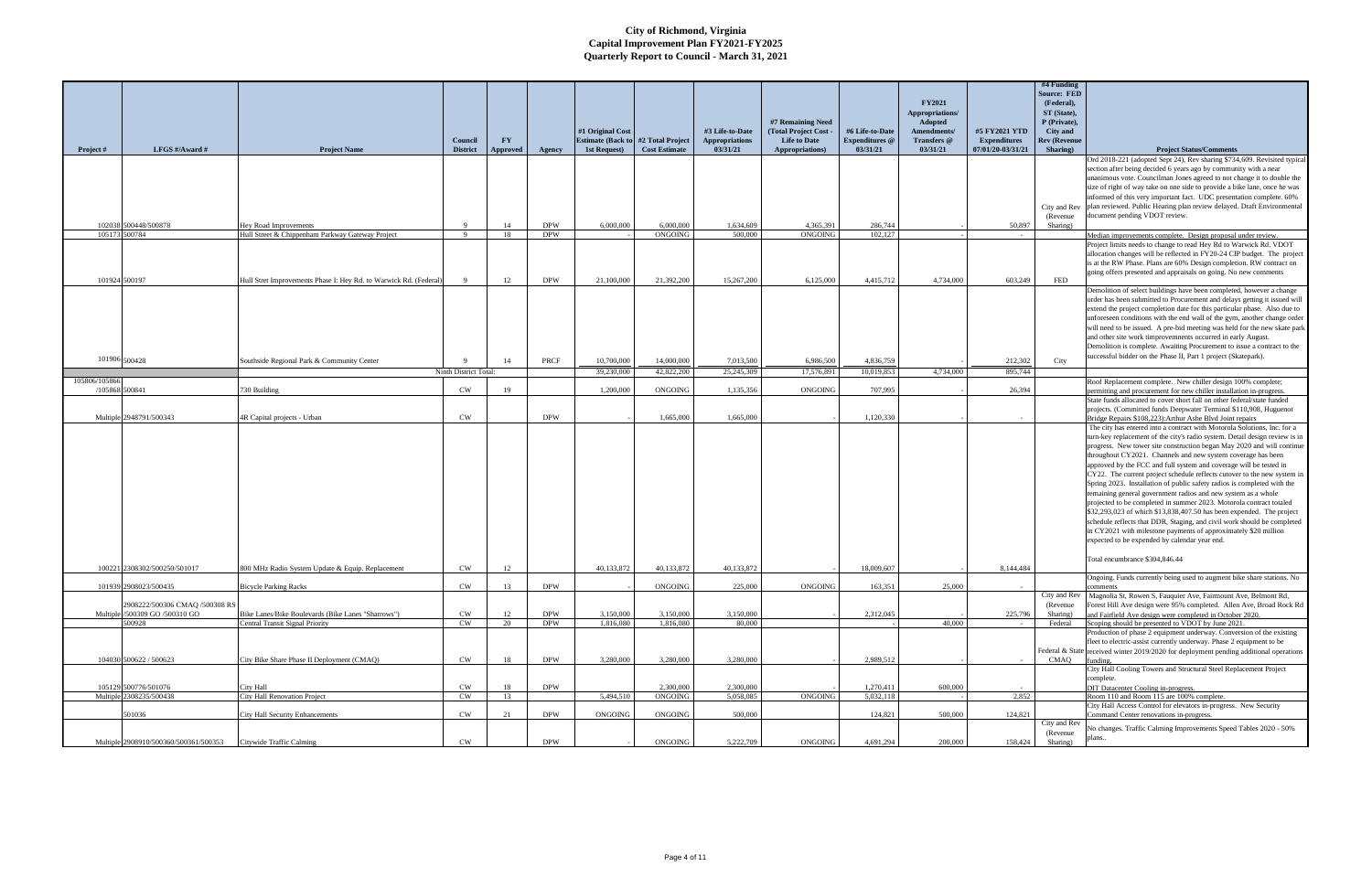|                |                                                 |                                                                                       |                        |          |                          |                          |                          |                         |                                            |                         |                               |                     | #4 Funding<br><b>Source: FED</b> |                                                                                                                                                   |
|----------------|-------------------------------------------------|---------------------------------------------------------------------------------------|------------------------|----------|--------------------------|--------------------------|--------------------------|-------------------------|--------------------------------------------|-------------------------|-------------------------------|---------------------|----------------------------------|---------------------------------------------------------------------------------------------------------------------------------------------------|
|                |                                                 |                                                                                       |                        |          |                          |                          |                          |                         |                                            |                         | <b>FY2021</b>                 |                     | (Federal),                       |                                                                                                                                                   |
|                |                                                 |                                                                                       |                        |          |                          |                          |                          |                         |                                            |                         | Appropriations/               |                     | ST (State),                      |                                                                                                                                                   |
|                |                                                 |                                                                                       |                        |          |                          | #1 Original Cost         |                          | #3 Life-to-Date         | #7 Remaining Need<br>(Total Project Cost - | #6 Life-to-Date         | Adopted<br><b>Amendments/</b> | #5 FY2021 YTD       | P (Private),<br>City and         |                                                                                                                                                   |
|                |                                                 |                                                                                       | Council                | FY       |                          | <b>Estimate (Back to</b> | #2 Total Project         | <b>Appropriations</b>   | <b>Life to Date</b>                        | <b>Expenditures</b> @   | Transfers @                   | <b>Expenditures</b> | <b>Rev (Revenue</b>              |                                                                                                                                                   |
| Project #      | LFGS #/Award #                                  | <b>Project Name</b>                                                                   | <b>District</b>        | Approved | Agency                   | 1st Request)             | <b>Cost Estimate</b>     | 03/31/21                | Appropriations)                            | 03/31/21                | 03/31/21                      | 07/01/20-03/31/21   | Sharing)                         | <b>Project Status/Comments</b>                                                                                                                    |
|                |                                                 |                                                                                       |                        |          |                          |                          |                          |                         |                                            |                         |                               |                     |                                  | Ord 2018-221 (adopted Sept 24), Rev sharing \$734,609. Revisited typica                                                                           |
|                |                                                 |                                                                                       |                        |          |                          |                          |                          |                         |                                            |                         |                               |                     |                                  | section after being decided 6 years ago by community with a near<br>unanimous vote. Councilman Jones agreed to not change it to double the        |
|                |                                                 |                                                                                       |                        |          |                          |                          |                          |                         |                                            |                         |                               |                     |                                  | size of right of way take on one side to provide a bike lane, once he was                                                                         |
|                |                                                 |                                                                                       |                        |          |                          |                          |                          |                         |                                            |                         |                               |                     |                                  | informed of this very important fact. UDC presentation complete. 60%                                                                              |
|                |                                                 |                                                                                       |                        |          |                          |                          |                          |                         |                                            |                         |                               |                     | (Revenue)                        | City and Rev plan reviewed. Public Hearing plan review delayed. Draft Environmental<br>document pending VDOT review.                              |
|                | 102038 500448/500878                            | Hey Road Improvements                                                                 | -9                     | 14       | <b>DPW</b>               | 6,000,000                | 6,000,000                | 1,634,609               | 4,365,391                                  | 286,744                 |                               | 50,897              | Sharing)                         |                                                                                                                                                   |
| 105173 500784  |                                                 | Hull Street & Chippenham Parkway Gateway Project                                      | $\overline{9}$         | 18       | <b>DPW</b>               |                          | ONGOING                  | 500,000                 | <b>ONGOING</b>                             | 102.127                 |                               | $\sim$              |                                  | Median improvements complete. Design proposal under review.                                                                                       |
|                |                                                 |                                                                                       |                        |          |                          |                          |                          |                         |                                            |                         |                               |                     |                                  | Project limits needs to change to read Hey Rd to Warwick Rd. VDOT                                                                                 |
|                |                                                 |                                                                                       |                        |          |                          |                          |                          |                         |                                            |                         |                               |                     |                                  | allocation changes will be reflected in FY20-24 CIP budget. The project<br>is at the RW Phase. Plans are 60% Design completion. RW contract on    |
|                |                                                 |                                                                                       |                        |          |                          |                          |                          |                         |                                            |                         |                               |                     |                                  | going offers presented and appraisals on going. No new comments                                                                                   |
| 101924 500197  |                                                 | Hull Stret Improvements Phase I: Hey Rd. to Warwick Rd. (Federal)                     | $\mathbf{Q}$           | 12       | <b>DPW</b>               | 21,100,000               | 21,392,200               | 15,267,200              | 6,125,000                                  | 4,415,712               | 4,734,000                     | 603,249             | <b>FED</b>                       |                                                                                                                                                   |
|                |                                                 |                                                                                       |                        |          |                          |                          |                          |                         |                                            |                         |                               |                     |                                  | Demolition of select buildings have been completed, however a change<br>order has been submitted to Procurement and delays getting it issued will |
|                |                                                 |                                                                                       |                        |          |                          |                          |                          |                         |                                            |                         |                               |                     |                                  | extend the project completion date for this particular phase. Also due to                                                                         |
|                |                                                 |                                                                                       |                        |          |                          |                          |                          |                         |                                            |                         |                               |                     |                                  | unforeseen conditions with the end wall of the gym, another change order                                                                          |
|                |                                                 |                                                                                       |                        |          |                          |                          |                          |                         |                                            |                         |                               |                     |                                  | will need to be issued. A pre-bid meeting was held for the new skate park                                                                         |
|                |                                                 |                                                                                       |                        |          |                          |                          |                          |                         |                                            |                         |                               |                     |                                  | and other site work timprovemnents occurred in early August.<br>Demolition is complete. Awaiting Procurement to issue a contract to the           |
| 101906 500428  |                                                 |                                                                                       |                        |          |                          |                          |                          |                         |                                            |                         |                               |                     |                                  | successful bidder on the Phase II, Part 1 project (Skatepark).                                                                                    |
|                |                                                 | Southside Regional Park & Community Center                                            | Ninth District Total   | 14       | PRCF                     | 10,700,000<br>39,230,000 | 14,000.000<br>42,822,200 | 7,013,500<br>25,245,309 | 6,986,500<br>17,576,891                    | 4,836,759<br>10.019.853 | 4,734,000                     | 212,302<br>895,744  | City                             |                                                                                                                                                   |
| 105806/105866  |                                                 |                                                                                       |                        |          |                          |                          |                          |                         |                                            |                         |                               |                     |                                  | Roof Replacement complete. New chiller design 100% complete;                                                                                      |
| /105868 500841 |                                                 | 30 Building                                                                           | CW                     | 19       |                          | 1,200,000                | ONGOING                  | 1,135,356               | ONGOING                                    | 707,995                 |                               | 26,394              |                                  | permitting and procurement for new chiller installation in-progress.                                                                              |
|                |                                                 |                                                                                       |                        |          |                          |                          |                          |                         |                                            |                         |                               |                     |                                  | State funds allocated to cover short fall on other federal/state funded                                                                           |
|                | Multiple 2948791/500343                         | 4R Capital projects - Urban                                                           | <b>CW</b>              |          | <b>DPW</b>               |                          | 1,665,000                | 1,665,000               |                                            | 1,120,330               |                               |                     |                                  | projects. (Committed funds Deepwater Terminal \$110,908, Huguenot<br>Bridge Repairs \$108,223): Arthur Ashe Blvd Joint repairs                    |
|                |                                                 |                                                                                       |                        |          |                          |                          |                          |                         |                                            |                         |                               |                     |                                  | The city has entered into a contract with Motorola Solutions, Inc. for a                                                                          |
|                |                                                 |                                                                                       |                        |          |                          |                          |                          |                         |                                            |                         |                               |                     |                                  | turn-key replacement of the city's radio system. Detail design review is in                                                                       |
|                |                                                 |                                                                                       |                        |          |                          |                          |                          |                         |                                            |                         |                               |                     |                                  | progress. New tower site construction began May 2020 and will continue<br>throughout CY2021. Channels and new system coverage has been            |
|                |                                                 |                                                                                       |                        |          |                          |                          |                          |                         |                                            |                         |                               |                     |                                  | approved by the FCC and full system and coverage will be tested in                                                                                |
|                |                                                 |                                                                                       |                        |          |                          |                          |                          |                         |                                            |                         |                               |                     |                                  | CY22. The current project schedule reflects cutover to the new system in                                                                          |
|                |                                                 |                                                                                       |                        |          |                          |                          |                          |                         |                                            |                         |                               |                     |                                  | Spring 2023. Installation of public safety radios is completed with the                                                                           |
|                |                                                 |                                                                                       |                        |          |                          |                          |                          |                         |                                            |                         |                               |                     |                                  | remaining general government radios and new system as a whole<br>projected to be completed in summer 2023. Motorola contract totaled              |
|                |                                                 |                                                                                       |                        |          |                          |                          |                          |                         |                                            |                         |                               |                     |                                  | \$32,293,023 of which \$13,838,407.50 has been expended. The project                                                                              |
|                |                                                 |                                                                                       |                        |          |                          |                          |                          |                         |                                            |                         |                               |                     |                                  | schedule reflects that DDR, Staging, and civil work should be completed                                                                           |
|                |                                                 |                                                                                       |                        |          |                          |                          |                          |                         |                                            |                         |                               |                     |                                  | in CY2021 with milestone payments of approximately \$20 million<br>expected to be expended by calendar year end.                                  |
|                |                                                 |                                                                                       |                        |          |                          |                          |                          |                         |                                            |                         |                               |                     |                                  |                                                                                                                                                   |
|                |                                                 |                                                                                       |                        |          |                          |                          |                          |                         |                                            |                         |                               |                     |                                  | Total encumbrance \$304,846.44                                                                                                                    |
|                | 100221 2308302/500250/501017                    | 800 MHz Radio System Update & Equip. Replacement                                      | <b>CW</b>              | 12       |                          | 40,133,872               | 40,133,872               | 40,133,872              |                                            | 18,009,607              |                               | 8,144,484           |                                  |                                                                                                                                                   |
|                | 101939 2908023/500435                           | <b>Bicycle Parking Racks</b>                                                          | CW                     | 13       | <b>DPW</b>               |                          | ONGOING                  | 225,000                 | ONGOING                                    | 163,351                 | 25,000                        | <b>College</b>      |                                  | Ongoing. Funds currently being used to augment bike share stations. No<br>comments                                                                |
|                |                                                 |                                                                                       |                        |          |                          |                          |                          |                         |                                            |                         |                               |                     | City and Rev                     | Magnolia St, Rowen S, Fauquier Ave, Fairmount Ave, Belmont Rd,                                                                                    |
|                | 2908222/500306 CMAQ /500308 RS                  |                                                                                       |                        |          |                          |                          |                          |                         |                                            |                         |                               |                     | (Revenue)                        | Forest Hill Ave design were 95% completed. Allen Ave, Broad Rock Rd                                                                               |
|                | Multiple /500309 GO /500310 GO<br>500928        | Bike Lanes/Bike Boulevards (Bike Lanes "Sharrows")<br>Central Transit Signal Priority | <b>CW</b><br><b>CW</b> | 12<br>20 | <b>DPW</b><br><b>DPW</b> | 3.150,000<br>1,816,080   | 3,150,000<br>1,816,080   | 3.150,000<br>80,000     |                                            | 2,312,045               | 40,000                        | 225,796             | Sharing)<br>Federal              | and Fairfield Ave design were completed in October 2020.<br>Scoping should be presented to VDOT by June 2021.                                     |
|                |                                                 |                                                                                       |                        |          |                          |                          |                          |                         |                                            |                         |                               |                     |                                  | Production of phase 2 equipment underway. Conversion of the existing                                                                              |
|                |                                                 |                                                                                       |                        |          |                          |                          |                          |                         |                                            |                         |                               |                     |                                  | fleet to electric-assist currently underway. Phase 2 equipment to be                                                                              |
|                | 104030 500622 / 500623                          | City Bike Share Phase II Deployment (CMAQ)                                            | <b>CW</b>              | 18       | <b>DPW</b>               | 3,280,000                | 3,280,000                | 3,280,000               |                                            | 2,989,512               |                               |                     | CMAQ                             | Federal & State received winter 2019/2020 for deployment pending additional operations<br>funding.                                                |
|                |                                                 |                                                                                       |                        |          |                          |                          |                          |                         |                                            |                         |                               |                     |                                  | City Hall Cooling Towers and Structural Steel Replacement Project                                                                                 |
|                |                                                 |                                                                                       |                        |          |                          |                          |                          |                         |                                            |                         |                               |                     |                                  | complete.                                                                                                                                         |
|                | 105129 500776/501076<br>Multiple 2308235/500438 | City Hall<br><b>City Hall Renovation Project</b>                                      | CW<br>CW               | 18<br>13 | <b>DPW</b>               | 5,494,510                | 2,300,000<br>ONGOING     | 2,300,000<br>5,058,085  | <b>ONGOING</b>                             | 1,270,411<br>5,032,118  | 600,000                       | 2,852               |                                  | DIT Datacenter Cooling in-progress.<br>Room 110 and Room 115 are 100% complete.                                                                   |
|                |                                                 |                                                                                       |                        |          |                          |                          |                          |                         |                                            |                         |                               |                     |                                  | City Hall Access Control for elevators in-progress. New Security                                                                                  |
|                | 501036                                          | <b>City Hall Security Enhancements</b>                                                | CW                     | 21       | <b>DPW</b>               | <b>ONGOING</b>           | ONGOING                  | 500,000                 |                                            | 124,821                 | 500,000                       | 124,821             |                                  | Command Center renovations in-progress.                                                                                                           |
|                |                                                 |                                                                                       |                        |          |                          |                          |                          |                         |                                            |                         |                               |                     | City and Rev<br>(Revenue         | No changes. Traffic Calming Improvements Speed Tables 2020 - 50%                                                                                  |
|                | Multiple 2908910/500360/500361/500353           | Citywide Traffic Calming                                                              | CW                     |          | <b>DPW</b>               |                          | ONGOING                  | 5,222,709               | ONGOING                                    | 4,691,294               | 200,000                       | 158,424             | Sharing)                         |                                                                                                                                                   |
|                |                                                 |                                                                                       |                        |          |                          |                          |                          |                         |                                            |                         |                               |                     |                                  |                                                                                                                                                   |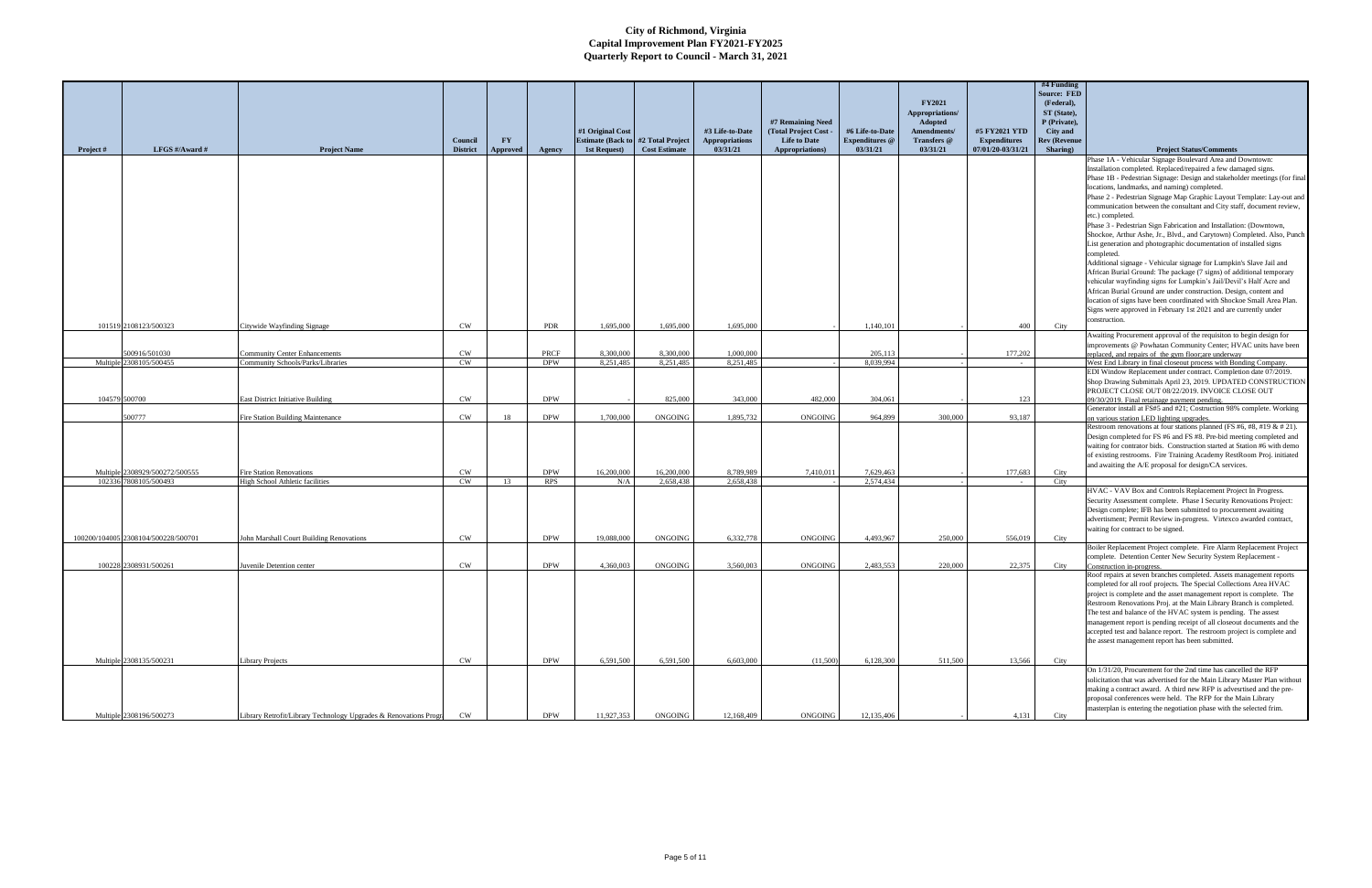|               |                                     |                                                                  |                 |           |            |                          |                      |                       |                     |                       |                 |                     | #4 Funding          |                                                                           |
|---------------|-------------------------------------|------------------------------------------------------------------|-----------------|-----------|------------|--------------------------|----------------------|-----------------------|---------------------|-----------------------|-----------------|---------------------|---------------------|---------------------------------------------------------------------------|
|               |                                     |                                                                  |                 |           |            |                          |                      |                       |                     |                       |                 |                     | <b>Source: FED</b>  |                                                                           |
|               |                                     |                                                                  |                 |           |            |                          |                      |                       |                     |                       | <b>FY2021</b>   |                     | (Federal),          |                                                                           |
|               |                                     |                                                                  |                 |           |            |                          |                      |                       |                     |                       |                 |                     |                     |                                                                           |
|               |                                     |                                                                  |                 |           |            |                          |                      |                       |                     |                       | Appropriations/ |                     | ST (State),         |                                                                           |
|               |                                     |                                                                  |                 |           |            |                          |                      |                       | #7 Remaining Need   |                       | Adopted         |                     | P (Private),        |                                                                           |
|               |                                     |                                                                  |                 |           |            | #1 Original Cost         |                      | #3 Life-to-Date       | (Total Project Cost | #6 Life-to-Date       | Amendments/     | #5 FY2021 YTD       | City and            |                                                                           |
|               |                                     |                                                                  | Council         | <b>FY</b> |            | <b>Estimate (Back to</b> | #2 Total Project     | <b>Appropriations</b> | <b>Life to Date</b> | <b>Expenditures</b> @ | Transfers @     | <b>Expenditures</b> | <b>Rev (Revenue</b> |                                                                           |
| Project #     | LFGS #/Award #                      | <b>Project Name</b>                                              | <b>District</b> | Approved  | Agency     | 1st Request)             | <b>Cost Estimate</b> | 03/31/21              | Appropriations)     | 03/31/21              | 03/31/21        | 07/01/20-03/31/21   | Sharing)            | <b>Project Status/Comments</b>                                            |
|               |                                     |                                                                  |                 |           |            |                          |                      |                       |                     |                       |                 |                     |                     | Phase 1A - Vehicular Signage Boulevard Area and Downtown:                 |
|               |                                     |                                                                  |                 |           |            |                          |                      |                       |                     |                       |                 |                     |                     | Installation completed. Replaced/repaired a few damaged signs.            |
|               |                                     |                                                                  |                 |           |            |                          |                      |                       |                     |                       |                 |                     |                     | Phase 1B - Pedestrian Signage: Design and stakeholder meetings (for final |
|               |                                     |                                                                  |                 |           |            |                          |                      |                       |                     |                       |                 |                     |                     | locations, landmarks, and naming) completed.                              |
|               |                                     |                                                                  |                 |           |            |                          |                      |                       |                     |                       |                 |                     |                     | Phase 2 - Pedestrian Signage Map Graphic Layout Template: Lay-out and     |
|               |                                     |                                                                  |                 |           |            |                          |                      |                       |                     |                       |                 |                     |                     | communication between the consultant and City staff, document review,     |
|               |                                     |                                                                  |                 |           |            |                          |                      |                       |                     |                       |                 |                     |                     | etc.) completed.                                                          |
|               |                                     |                                                                  |                 |           |            |                          |                      |                       |                     |                       |                 |                     |                     | Phase 3 - Pedestrian Sign Fabrication and Installation: (Downtown,        |
|               |                                     |                                                                  |                 |           |            |                          |                      |                       |                     |                       |                 |                     |                     |                                                                           |
|               |                                     |                                                                  |                 |           |            |                          |                      |                       |                     |                       |                 |                     |                     | Shockoe, Arthur Ashe, Jr., Blvd., and Carytown) Completed. Also, Punch    |
|               |                                     |                                                                  |                 |           |            |                          |                      |                       |                     |                       |                 |                     |                     | List generation and photographic documentation of installed signs         |
|               |                                     |                                                                  |                 |           |            |                          |                      |                       |                     |                       |                 |                     |                     | completed.                                                                |
|               |                                     |                                                                  |                 |           |            |                          |                      |                       |                     |                       |                 |                     |                     | Additional signage - Vehicular signage for Lumpkin's Slave Jail and       |
|               |                                     |                                                                  |                 |           |            |                          |                      |                       |                     |                       |                 |                     |                     | African Burial Ground: The package (7 signs) of additional temporary      |
|               |                                     |                                                                  |                 |           |            |                          |                      |                       |                     |                       |                 |                     |                     | vehicular wayfinding signs for Lumpkin's Jail/Devil's Half Acre and       |
|               |                                     |                                                                  |                 |           |            |                          |                      |                       |                     |                       |                 |                     |                     | African Burial Ground are under construction. Design, content and         |
|               |                                     |                                                                  |                 |           |            |                          |                      |                       |                     |                       |                 |                     |                     | location of signs have been coordinated with Shockoe Small Area Plan.     |
|               |                                     |                                                                  |                 |           |            |                          |                      |                       |                     |                       |                 |                     |                     | Signs were approved in February 1st 2021 and are currently under          |
|               |                                     |                                                                  |                 |           |            |                          |                      |                       |                     |                       |                 |                     |                     | construction.                                                             |
|               | 101519 2108123/500323               | Citywide Wayfinding Signage                                      | CW              |           | PDR        | 1,695,000                | 1,695,000            | 1,695,000             |                     | 1,140,101             |                 | 400                 | City                |                                                                           |
|               |                                     |                                                                  |                 |           |            |                          |                      |                       |                     |                       |                 |                     |                     | Awaiting Procurement approval of the requisiton to begin design for       |
|               |                                     |                                                                  |                 |           |            |                          |                      |                       |                     |                       |                 |                     |                     | improvements @ Powhatan Community Center; HVAC units have been            |
|               | 500916/501030                       | <b>Community Center Enhancements</b>                             | CW              |           | PRCF       | 8,300,000                | 8.300,000            | 1,000,000             |                     | 205,113               |                 | 177,202             |                     | replaced, and repairs of the gym floor; are underway                      |
|               | Multiple 2308105/500455             | Community Schools/Parks/Libraries                                | CW              |           | <b>DPW</b> | 8.251.485                | 8.251.485            | 8.251.485             |                     | 8.039.994             |                 |                     |                     | West End Library in final closeout process with Bonding Company.          |
|               |                                     |                                                                  |                 |           |            |                          |                      |                       |                     |                       |                 |                     |                     | EDI Window Replacement under contract. Completion date 07/2019.           |
|               |                                     |                                                                  |                 |           |            |                          |                      |                       |                     |                       |                 |                     |                     | Shop Drawing Submittals April 23, 2019. UPDATED CONSTRUCTION              |
|               |                                     |                                                                  |                 |           |            |                          |                      |                       |                     |                       |                 |                     |                     | PROJECT CLOSE OUT 08/22/2019. INVOICE CLOSE OUT                           |
| 104579 500700 |                                     | <b>East District Initiative Building</b>                         | CW              |           | <b>DPW</b> |                          | 825,000              | 343,000               | 482,000             | 304,061               |                 | 123                 |                     | 09/30/2019. Final retainage payment pending                               |
|               |                                     |                                                                  |                 |           |            |                          |                      |                       |                     |                       |                 |                     |                     | Generator install at FS#5 and #21; Costruction 98% complete. Working      |
|               | 500777                              | <b>Fire Station Building Maintenance</b>                         | CW              | 18        | <b>DPW</b> | 1,700,000                | ONGOING              | 1,895,732             | ONGOING             | 964,899               | 300,000         | 93,187              |                     | on various station LED lighting upgrades.                                 |
|               |                                     |                                                                  |                 |           |            |                          |                      |                       |                     |                       |                 |                     |                     | Restroom renovations at four stations planned (FS #6, #8, #19 & # 21).    |
|               |                                     |                                                                  |                 |           |            |                          |                      |                       |                     |                       |                 |                     |                     | Design completed for FS #6 and FS #8. Pre-bid meeting completed and       |
|               |                                     |                                                                  |                 |           |            |                          |                      |                       |                     |                       |                 |                     |                     | waiting for contrator bids. Construction started at Station #6 with demo- |
|               |                                     |                                                                  |                 |           |            |                          |                      |                       |                     |                       |                 |                     |                     | of existing restrooms. Fire Training Academy RestRoom Proj. initiated     |
|               |                                     |                                                                  |                 |           |            |                          |                      |                       |                     |                       |                 |                     |                     |                                                                           |
|               | Multiple 2308929/500272/500555      | <b>Fire Station Renovations</b>                                  | CW              |           | <b>DPW</b> | 16,200,000               | 16,200,000           | 8,789,989             | 7,410,011           | 7,629,463             |                 | 177,683             | City                | and awaiting the A/E proposal for design/CA services.                     |
|               | 102336 7808105/500493               | High School Athletic facilities                                  | $\mathrm{CW}$   | 13        | <b>RPS</b> | N/A                      | 2,658,438            | 2,658,438             |                     | 2,574,434             |                 |                     | City                |                                                                           |
|               |                                     |                                                                  |                 |           |            |                          |                      |                       |                     |                       |                 |                     |                     | HVAC - VAV Box and Controls Replacement Project In Progress.              |
|               |                                     |                                                                  |                 |           |            |                          |                      |                       |                     |                       |                 |                     |                     |                                                                           |
|               |                                     |                                                                  |                 |           |            |                          |                      |                       |                     |                       |                 |                     |                     | Security Assessment complete. Phase I Security Renovations Project:       |
|               |                                     |                                                                  |                 |           |            |                          |                      |                       |                     |                       |                 |                     |                     | Design complete; IFB has been submitted to procurement awaiting           |
|               |                                     |                                                                  |                 |           |            |                          |                      |                       |                     |                       |                 |                     |                     | advertisment; Permit Review in-progress. Virtexco awarded contract,       |
|               |                                     |                                                                  |                 |           |            |                          |                      |                       |                     |                       |                 |                     |                     | waiting for contract to be signed.                                        |
|               | 100200/104005 2308104/500228/500701 | John Marshall Court Building Renovations                         | <b>CW</b>       |           | <b>DPW</b> | 19,088,000               | ONGOING              | 6,332,778             | ONGOING             | 4,493,967             | 250,000         | 556,019             | City                |                                                                           |
|               |                                     |                                                                  |                 |           |            |                          |                      |                       |                     |                       |                 |                     |                     | Boiler Replacement Project complete. Fire Alarm Replacement Project       |
|               |                                     |                                                                  |                 |           |            |                          |                      |                       |                     |                       |                 |                     |                     | complete. Detention Center New Security System Replacement                |
|               | 100228 2308931/500261               | uvenile Detention center                                         | <b>CW</b>       |           | <b>DPW</b> | 4,360,003                | ONGOING              | 3,560,003             | ONGOING             | 2,483,553             | 220,000         | 22,375              | City                | Construction in-progress.                                                 |
|               |                                     |                                                                  |                 |           |            |                          |                      |                       |                     |                       |                 |                     |                     | Roof repairs at seven branches completed. Assets management reports       |
|               |                                     |                                                                  |                 |           |            |                          |                      |                       |                     |                       |                 |                     |                     | completed for all roof projects. The Special Collections Area HVAC        |
|               |                                     |                                                                  |                 |           |            |                          |                      |                       |                     |                       |                 |                     |                     | project is complete and the asset management report is complete. The      |
|               |                                     |                                                                  |                 |           |            |                          |                      |                       |                     |                       |                 |                     |                     | Restroom Renovations Proj. at the Main Library Branch is completed        |
|               |                                     |                                                                  |                 |           |            |                          |                      |                       |                     |                       |                 |                     |                     | The test and balance of the HVAC system is pending. The assest            |
|               |                                     |                                                                  |                 |           |            |                          |                      |                       |                     |                       |                 |                     |                     | management report is pending receipt of all closeout documents and the    |
|               |                                     |                                                                  |                 |           |            |                          |                      |                       |                     |                       |                 |                     |                     | accepted test and balance report. The restroom project is complete and    |
|               |                                     |                                                                  |                 |           |            |                          |                      |                       |                     |                       |                 |                     |                     | the assest management report has been submitted.                          |
|               |                                     |                                                                  |                 |           |            |                          |                      |                       |                     |                       |                 |                     |                     |                                                                           |
|               | Multiple 2308135/500231             |                                                                  | CW              |           | <b>DPW</b> | 6,591,500                | 6.591.500            | 6,603,000             | (11.500)            | 6,128,300             | 511,500         | 13.566              |                     |                                                                           |
|               |                                     | Library Projects                                                 |                 |           |            |                          |                      |                       |                     |                       |                 |                     | City                |                                                                           |
|               |                                     |                                                                  |                 |           |            |                          |                      |                       |                     |                       |                 |                     |                     | On 1/31/20, Procurement for the 2nd time has cancelled the RFP            |
|               |                                     |                                                                  |                 |           |            |                          |                      |                       |                     |                       |                 |                     |                     | solicitation that was advertised for the Main Library Master Plan without |
|               |                                     |                                                                  |                 |           |            |                          |                      |                       |                     |                       |                 |                     |                     | making a contract award. A third new RFP is advesrtised and the pre-      |
|               |                                     |                                                                  |                 |           |            |                          |                      |                       |                     |                       |                 |                     |                     | proposal conferences were held. The RFP for the Main Library              |
|               |                                     |                                                                  |                 |           |            |                          |                      |                       |                     |                       |                 |                     |                     | masterplan is entering the negotiation phase with the selected frim.      |
|               | Multiple 2308196/500273             | Library Retrofit/Library Technology Upgrades & Renovations Progr | CW              |           | <b>DPW</b> | 11,927,353               | ONGOING              | 12,168,409            | ONGOING             | 12,135,406            |                 | 4,131               | City                |                                                                           |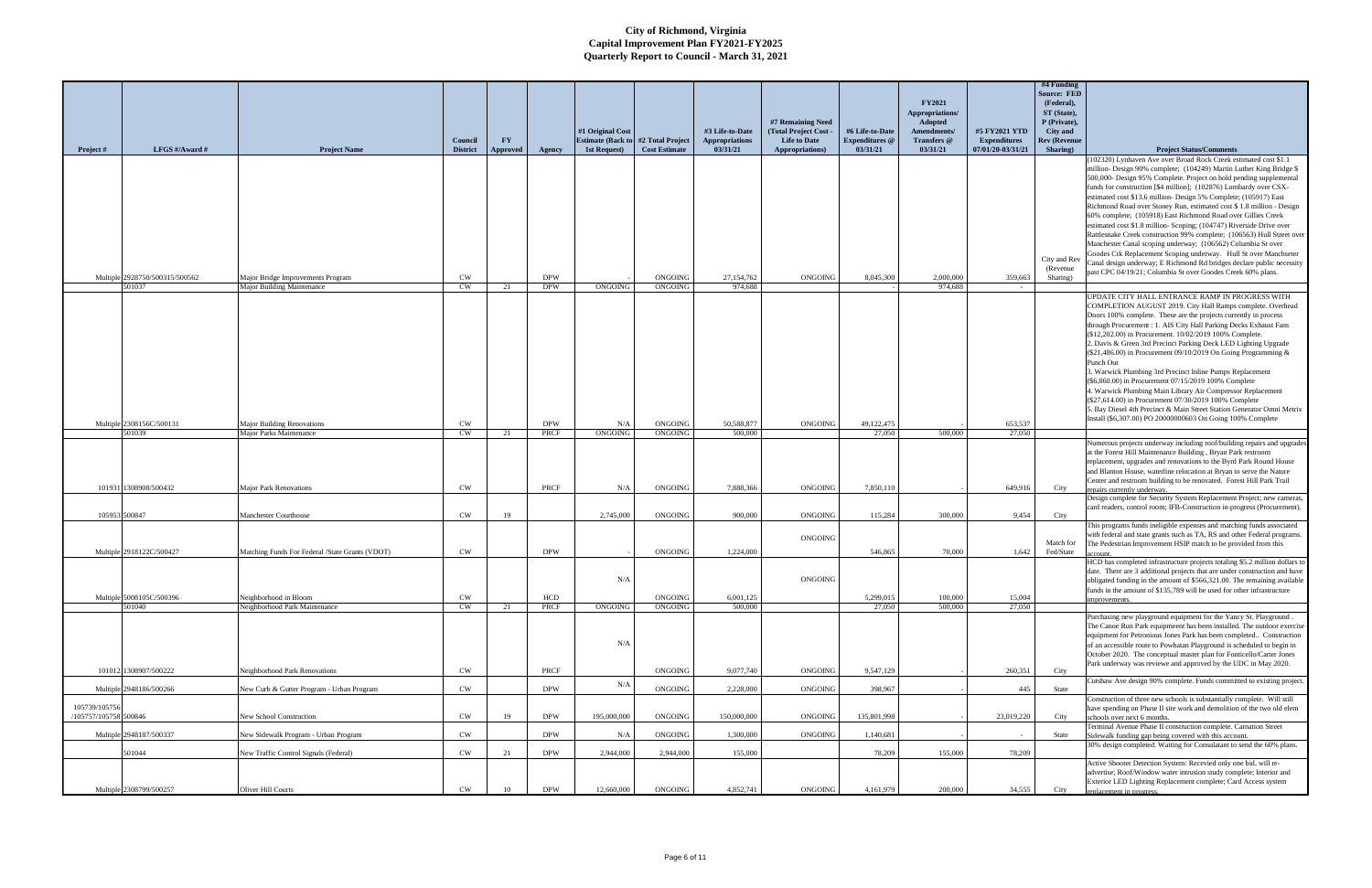| Project #                              | LFGS #/Award #                           | <b>Project Name</b>                                             | Council<br><b>District</b> | FY<br>Approved | Agency                   | #1 Original Cost<br><b>Estimate (Back to #2 Total Project)</b><br>1st Request) | <b>Cost Estimate</b>      | #3 Life-to-Date<br><b>Appropriations</b><br>03/31/21 | #7 Remaining Need<br>(Total Project Cost -<br><b>Life to Date</b><br>Appropriations) | #6 Life-to-Date<br><b>Expenditures</b> @<br>03/31/21 | <b>FY2021</b><br>Appropriations/<br>Adopted<br>Amendments/<br>Transfers @<br>03/31/21 | #5 FY2021 YTD<br><b>Expenditures</b><br>07/01/20-03/31/21 | #4 Funding<br><b>Source: FED</b><br>(Federal),<br>ST (State),<br>P (Private),<br><b>City</b> and<br><b>Rev (Revenu</b><br>Sharing) | <b>Project Status/Comments</b>                                                                                                                                                                                                                                                                                                                                                                                                                                                                                                                                                                                                                                                                                                                                                             |
|----------------------------------------|------------------------------------------|-----------------------------------------------------------------|----------------------------|----------------|--------------------------|--------------------------------------------------------------------------------|---------------------------|------------------------------------------------------|--------------------------------------------------------------------------------------|------------------------------------------------------|---------------------------------------------------------------------------------------|-----------------------------------------------------------|------------------------------------------------------------------------------------------------------------------------------------|--------------------------------------------------------------------------------------------------------------------------------------------------------------------------------------------------------------------------------------------------------------------------------------------------------------------------------------------------------------------------------------------------------------------------------------------------------------------------------------------------------------------------------------------------------------------------------------------------------------------------------------------------------------------------------------------------------------------------------------------------------------------------------------------|
|                                        |                                          |                                                                 |                            |                |                          |                                                                                |                           |                                                      |                                                                                      |                                                      |                                                                                       |                                                           |                                                                                                                                    | (102320) Lynhaven Ave over Broad Rock Creek estimated cost \$1.1<br>million- Design 90% complete; (104249) Martin Luther King Bridge \$<br>500,000- Design 95% Complete. Project on hold pending supplemental<br>funds for construction [\$4 million]; (102876) Lombardy over CSX-<br>estimated cost \$13.6 million- Design 5% Complete; (105917) East<br>Richmond Road over Stoney Run, estimated cost \$1.8 million - Design<br>60% complete; (105918) East Richmond Road over Gillies Creek<br>estimated cost \$1.8 million- Scoping; (104747) Riverside Drive over<br>Rattlesnake Creek construction 99% complete; (106563) Hull Street over                                                                                                                                           |
|                                        | Multiple 2928750/500315/500562<br>501037 | Major Bridge Improvements Program<br>Major Building Maintenance | <b>CW</b><br><b>CW</b>     | 21             | <b>DPW</b><br><b>DPW</b> | ONGOING                                                                        | ONGOING<br>ONGOING        | 27,154,762<br>974,688                                | ONGOING                                                                              | 8,045,300                                            | 2,000,000<br>974.688                                                                  | 359,663                                                   | City and Rev<br>(Revenue)<br>Sharing)                                                                                              | Manchester Canal scoping underway; (106562) Columbia St over<br>Goodes Crk Replacement Scoping underway. Hull St over Manchseter<br>Canal design underway; E Richmond Rd bridges declare public necessity<br>past CPC 04/19/21; Columbia St over Goodes Creek 60% plans.                                                                                                                                                                                                                                                                                                                                                                                                                                                                                                                   |
|                                        |                                          |                                                                 |                            |                |                          |                                                                                |                           |                                                      |                                                                                      |                                                      |                                                                                       |                                                           |                                                                                                                                    | UPDATE CITY HALL ENTRANCE RAMP IN PROGRESS WITH<br>COMPLETION AUGUST 2019. City Hall Ramps complete. Overhead<br>Doors 100% complete. These are the projects currently in process<br>through Procurement : 1. AIS City Hall Parking Decks Exhaust Fans<br>(\$12,202.00) in Procurement. 10/02/2019 100% Complete.<br>2. Davis & Green 3rd Precinct Parking Deck LED Lighting Upgrade<br>(\$21,486.00) in Procurement 09/10/2019 On Going Programming &<br>Punch Out<br>3. Warwick Plumbing 3rd Precinct Inline Pumps Replacement<br>(\$6,860.00) in Procurement 07/15/2019 100% Complete<br>4. Warwick Plumbing Main Library Air Compressor Replacement<br>(\$27,614.00) in Procurement 07/30/2019 100% Complete<br>5. Bay Diesel 4th Precinct & Main Street Station Generator Omni Metrix |
|                                        | Multiple 2308156C/500131<br>501039       | <b>Major Building Renovations</b><br>Maior Parks Maintenance    | CW<br><b>CW</b>            | 21             | <b>DPW</b><br>PRCF       | N/A<br>ONGOING                                                                 | <b>ONGOING</b><br>ONGOING | 50,588,877<br>500.000                                | ONGOING                                                                              | 49,122,475<br>27,050                                 | 500.000                                                                               | 653.537<br>27,050                                         |                                                                                                                                    | Install (\$6,307.00) PO 20000000603 On Going 100% Complete                                                                                                                                                                                                                                                                                                                                                                                                                                                                                                                                                                                                                                                                                                                                 |
|                                        |                                          |                                                                 |                            |                |                          |                                                                                |                           |                                                      |                                                                                      |                                                      |                                                                                       |                                                           |                                                                                                                                    | Numerous projects underway including roof/building repairs and upgrades<br>at the Forest Hill Maintenance Building, Bryan Park restroom<br>replacement, upgrades and renovations to the Byrd Park Round House<br>and Blanton House, waterline relocation at Bryan to serve the Nature<br>Center and restroom building to be renovated. Forest Hill Park Trail                                                                                                                                                                                                                                                                                                                                                                                                                              |
|                                        | 101931 1308908/500432                    | <b>Major Park Renovations</b>                                   | CW                         |                | PRCF                     | N/A                                                                            | ONGOING                   | 7.888.366                                            | ONGOING                                                                              | 7,850,110                                            |                                                                                       | 649,916                                                   | City                                                                                                                               | repairs currently underway<br>Design complete for Security System Replacement Project; new cameras,<br>card readers, control room; IFB-Construction in-progress (Procurement).                                                                                                                                                                                                                                                                                                                                                                                                                                                                                                                                                                                                             |
| 105953 500847                          |                                          | Manchester Courthouse                                           | CW                         | 19             |                          | 2,745,000                                                                      | ONGOING                   | 900,000                                              | ONGOING                                                                              | 115,284                                              | 300,000                                                                               | 9,454                                                     | City                                                                                                                               | This programs funds ineligible expenses and matching funds associated                                                                                                                                                                                                                                                                                                                                                                                                                                                                                                                                                                                                                                                                                                                      |
|                                        | Multiple 2918122C/500427                 | Matching Funds For Federal /State Grants (VDOT)                 | CW                         |                | <b>DPW</b>               |                                                                                | ONGOING                   | 1,224,000                                            | ONGOING                                                                              | 546,865                                              | 70,000                                                                                | 1,642                                                     | Match for<br>Fed/State                                                                                                             | with federal and state grants such as TA, RS and other Federal programs<br>The Pedestrian Improvement HSIP match to be provided from this<br>count.                                                                                                                                                                                                                                                                                                                                                                                                                                                                                                                                                                                                                                        |
|                                        |                                          |                                                                 |                            |                |                          | N/A                                                                            |                           |                                                      | ONGOING                                                                              |                                                      |                                                                                       |                                                           |                                                                                                                                    | HCD has completed infrastructure projects totaling \$5.2 million dollars to<br>date. There are 3 additional projects that are under construction and have<br>obligated funding in the amount of \$566,321.00. The remaining available<br>funds in the amount of \$135,789 will be used for other infrastructure                                                                                                                                                                                                                                                                                                                                                                                                                                                                            |
|                                        | Multiple 5008105C/500396<br>501040       | Neighborhood in Bloom<br>Neighborhood Park Maintenance          | CW<br><b>CW</b>            | 21             | <b>HCD</b><br>PRCF       | ONGOING                                                                        | ONGOING<br>ONGOING        | 6,001,125<br>500,000                                 |                                                                                      | 5,299,015<br>27,050                                  | 100,000<br>500,000                                                                    | 15,004<br>27,050                                          |                                                                                                                                    | Purchasing new playground equipment for the Yancy St. Playground.                                                                                                                                                                                                                                                                                                                                                                                                                                                                                                                                                                                                                                                                                                                          |
|                                        |                                          |                                                                 |                            |                |                          | N/A                                                                            |                           |                                                      |                                                                                      |                                                      |                                                                                       |                                                           |                                                                                                                                    | The Canoe Run Park equipmeent has been installed. The outdoor exercise<br>equipment for Petronious Jones Park has been completed Construction<br>of an accessible route to Powhatan Playground is scheduled to begin in<br>October 2020. The conceptual master plan for Fonticello/Carter Jones<br>Park underway was reviewe and approved by the UDC in May 2020.                                                                                                                                                                                                                                                                                                                                                                                                                          |
|                                        | 101012 1308907/500222                    | Neighborhood Park Renovations                                   | <b>CW</b>                  |                | PRCF                     |                                                                                | ONGOING                   | 9,077,740                                            | ONGOING                                                                              | 9,547,129                                            |                                                                                       | 260,351                                                   | City                                                                                                                               | Cutshaw Ave design 90% complete. Funds committed to existing project.                                                                                                                                                                                                                                                                                                                                                                                                                                                                                                                                                                                                                                                                                                                      |
|                                        | Multiple 2948186/500266                  | New Curb & Gutter Program - Urban Program                       | <b>CW</b>                  |                | <b>DPW</b>               | N/A                                                                            | ONGOING                   | 2,228,000                                            | ONGOING                                                                              | 398,967                                              |                                                                                       | 445                                                       | State                                                                                                                              | Construction of three new schools is substantially complete. Will still                                                                                                                                                                                                                                                                                                                                                                                                                                                                                                                                                                                                                                                                                                                    |
| 105739/105756<br>/105757/105758 500846 |                                          | New School Construction                                         | CW                         | 19             | <b>DPW</b>               | 195,000,000                                                                    | ONGOING                   | 150,000,000                                          | ONGOING                                                                              | 135,801,998                                          |                                                                                       | 23,019,220                                                | City                                                                                                                               | have spending on Phase II site work and demolition of the two old elem<br>schools over next 6 months.                                                                                                                                                                                                                                                                                                                                                                                                                                                                                                                                                                                                                                                                                      |
|                                        | Multiple 2948187/500337                  | New Sidewalk Program - Urban Program                            | CW                         |                | <b>DPW</b>               | N/A                                                                            | ONGOING                   | 1,300,000                                            | ONGOING                                                                              | 1,140,681                                            |                                                                                       |                                                           | State                                                                                                                              | Terminal Avenue Phase II construction complete. Carnation Street<br>Sidewalk funding gap being covered with this account.                                                                                                                                                                                                                                                                                                                                                                                                                                                                                                                                                                                                                                                                  |
|                                        | 501044                                   | New Traffic Control Signals (Federal)                           | CW                         | 21             | <b>DPW</b>               | 2,944,000                                                                      | 2,944,000                 | 155,000                                              |                                                                                      | 78,209                                               | 155,000                                                                               | 78,209                                                    |                                                                                                                                    | 30% design completed. Waiting for Consulatant to send the 60% plans.<br>Active Shooter Detection System: Recevied only one bid, will re-                                                                                                                                                                                                                                                                                                                                                                                                                                                                                                                                                                                                                                                   |
|                                        | Multiple 2308799/500257                  | Oliver Hill Courts                                              | CW                         | 10             | <b>DPW</b>               | 12,660,000                                                                     | ONGOING                   | 4,852,741                                            | <b>ONGOING</b>                                                                       | 4,161,979                                            | 200,000                                                                               | 34,555                                                    | City                                                                                                                               | advertise; Roof/Window water intrusion study complete; Interior and<br>Exterior LED Lighting Replacement complete; Card Access system<br>replacement in progress.                                                                                                                                                                                                                                                                                                                                                                                                                                                                                                                                                                                                                          |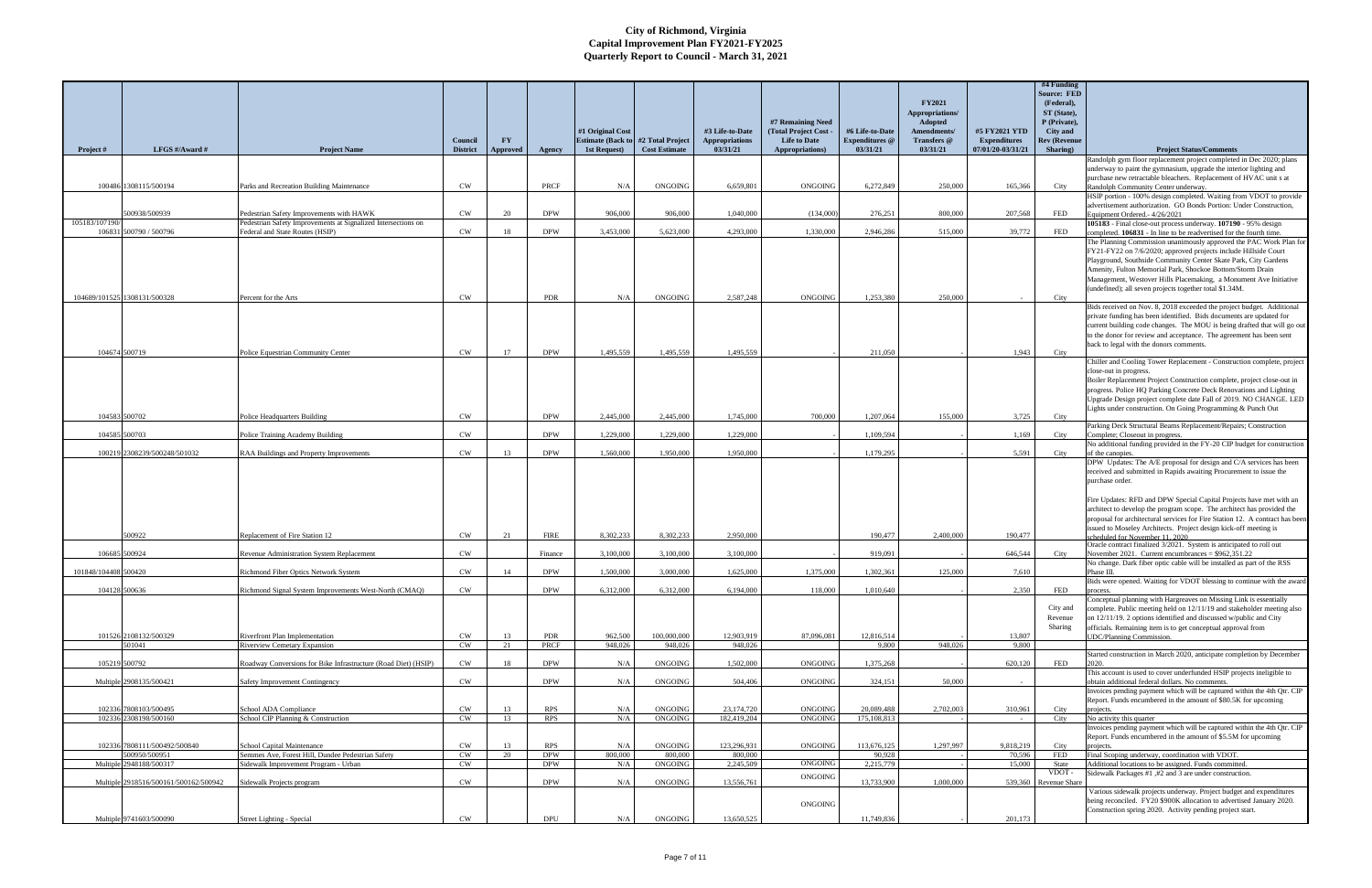| Project #            | LFGS #/Award #                                | <b>Project Name</b>                                                             | Council<br><b>District</b> | <b>FY</b><br>Approved | Agency                   | #1 Original Cost<br><b>Estimate (Back to</b><br>1st Request) | #2 Total Project<br><b>Cost Estimate</b> | #3 Life-to-Date<br><b>Appropriations</b><br>03/31/21 | #7 Remaining Need<br>(Total Project Cost -<br><b>Life to Date</b><br>Appropriations) | #6 Life-to-Date<br><b>Expenditures</b> @<br>03/31/21 | <b>FY2021</b><br>Appropriations/<br>Adopted<br>Amendments/<br>Transfers @<br>03/31/21 | #5 FY2021 YTD<br><b>Expenditures</b><br>07/01/20-03/31/21 | #4 Funding<br><b>Source: FED</b><br>(Federal),<br>ST (State),<br>P (Private),<br>City and<br><b>Rev (Revenue</b><br>Sharing) | <b>Project Status/Comments</b>                                                                                                                                                                                                                                                                                                                                                                                                                                  |
|----------------------|-----------------------------------------------|---------------------------------------------------------------------------------|----------------------------|-----------------------|--------------------------|--------------------------------------------------------------|------------------------------------------|------------------------------------------------------|--------------------------------------------------------------------------------------|------------------------------------------------------|---------------------------------------------------------------------------------------|-----------------------------------------------------------|------------------------------------------------------------------------------------------------------------------------------|-----------------------------------------------------------------------------------------------------------------------------------------------------------------------------------------------------------------------------------------------------------------------------------------------------------------------------------------------------------------------------------------------------------------------------------------------------------------|
|                      |                                               |                                                                                 |                            |                       |                          |                                                              |                                          |                                                      |                                                                                      |                                                      |                                                                                       |                                                           |                                                                                                                              | Randolph gym floor replacement project completed in Dec 2020; plans                                                                                                                                                                                                                                                                                                                                                                                             |
|                      |                                               |                                                                                 |                            |                       |                          |                                                              |                                          |                                                      |                                                                                      |                                                      |                                                                                       |                                                           |                                                                                                                              | underway to paint the gymnasium, upgrade the interior lighting and                                                                                                                                                                                                                                                                                                                                                                                              |
|                      | 100486 1308115/500194                         | Parks and Recreation Building Maintenance                                       | <b>CW</b>                  |                       | PRCF                     | N/A                                                          | ONGOING                                  | 6.659.801                                            | <b>ONGOING</b>                                                                       | 6,272,849                                            | 250,000                                                                               | 165,366                                                   | City                                                                                                                         | purchase new retractable bleachers. Replacement of HVAC unit s at<br>Randolph Community Center underway.                                                                                                                                                                                                                                                                                                                                                        |
|                      |                                               |                                                                                 |                            |                       |                          |                                                              |                                          |                                                      |                                                                                      |                                                      |                                                                                       |                                                           |                                                                                                                              | HSIP portion - 100% design completed. Waiting from VDOT to provide                                                                                                                                                                                                                                                                                                                                                                                              |
|                      | 500938/500939                                 | Pedestrian Safety Improvements with HAWK                                        | CW                         | 20                    | <b>DPW</b>               | 906,000                                                      | 906,000                                  | 1,040,000                                            | (134,000)                                                                            | 276,251                                              | 800,000                                                                               | 207.568                                                   | FED                                                                                                                          | advertisement authorization. GO Bonds Portion: Under Construction,<br>Equipment Ordered. - 4/26/2021                                                                                                                                                                                                                                                                                                                                                            |
| 105183/107190        |                                               | Pedestrian Safety Improvements at Signalized Intersections on                   |                            |                       |                          |                                                              |                                          |                                                      |                                                                                      |                                                      |                                                                                       |                                                           |                                                                                                                              | 105183 - Final close-out process underway. 107190 - 95% design                                                                                                                                                                                                                                                                                                                                                                                                  |
| 106831               | 500790 / 500796                               | Federal and State Routes (HSIP)                                                 | <b>CW</b>                  | 18                    | <b>DPW</b>               | 3,453,000                                                    | 5.623,000                                | 4.293,000                                            | 1.330,000                                                                            | 2.946.286                                            | 515,000                                                                               | 39,772                                                    | FED                                                                                                                          | completed. 106831 - In line to be readvertised for the fourth time.                                                                                                                                                                                                                                                                                                                                                                                             |
|                      | 104689/101525 1308131/500328                  | Percent for the Arts                                                            | <b>CW</b>                  |                       | PDR                      | N/A                                                          | ONGOING                                  | 2.587.248                                            | <b>ONGOING</b>                                                                       | 1.253.380                                            | 250,000                                                                               |                                                           | City                                                                                                                         | The Planning Commission unanimously approved the PAC Work Plan for<br>FY21-FY22 on 7/6/2020; approved projects include Hillside Court<br>Playground, Southside Community Center Skate Park, City Gardens<br>Amenity, Fulton Memorial Park, Shockoe Bottom/Storm Drain<br>Management, Westover Hills Placemaking, a Monument Ave Initiative<br>(undefined); all seven projects together total \$1.34M.                                                           |
|                      |                                               |                                                                                 |                            |                       |                          |                                                              |                                          |                                                      |                                                                                      |                                                      |                                                                                       |                                                           |                                                                                                                              | Bids received on Nov. 8, 2018 exceeded the project budget. Additional                                                                                                                                                                                                                                                                                                                                                                                           |
|                      | 104674 500719                                 | Police Equestrian Community Center                                              | <b>CW</b>                  | 17                    | <b>DPW</b>               | 1.495.559                                                    | 1,495,559                                | 1.495.559                                            |                                                                                      | 211,050                                              |                                                                                       | 1,943                                                     | City                                                                                                                         | private funding has been identified. Bids documents are updated for<br>current building code changes. The MOU is being drafted that will go out<br>to the donor for review and acceptance. The agreement has been sent<br>back to legal with the donors comments.                                                                                                                                                                                               |
|                      |                                               |                                                                                 |                            |                       |                          |                                                              |                                          |                                                      |                                                                                      |                                                      |                                                                                       |                                                           |                                                                                                                              | Chiller and Cooling Tower Replacement - Construction complete, project                                                                                                                                                                                                                                                                                                                                                                                          |
|                      |                                               |                                                                                 |                            |                       |                          |                                                              |                                          |                                                      |                                                                                      |                                                      |                                                                                       |                                                           |                                                                                                                              | close-out in progress.<br>Boiler Replacement Project Construction complete, project close-out in<br>progress. Police HQ Parking Concrete Deck Renovations and Lighting<br>Upgrade Design project complete date Fall of 2019. NO CHANGE. LED<br>Lights under construction. On Going Programming & Punch Out                                                                                                                                                      |
| 104583 500702        |                                               | Police Headquarters Building                                                    | CW                         |                       | <b>DPW</b>               | 2,445,000                                                    | 2,445,000                                | 1,745,000                                            | 700,000                                                                              | 1.207.064                                            | 155,000                                                                               | 3,725                                                     | City                                                                                                                         | Parking Deck Structural Beams Replacement/Repairs; Construction                                                                                                                                                                                                                                                                                                                                                                                                 |
| 104585 500703        |                                               | Police Training Academy Building                                                | CW                         |                       | <b>DPW</b>               | 1.229,000                                                    | 1.229,000                                | 1.229,000                                            |                                                                                      | 1.109.594                                            |                                                                                       | 1.169                                                     | City                                                                                                                         | Complete; Closeout in progress.                                                                                                                                                                                                                                                                                                                                                                                                                                 |
|                      | 100219 2308239/500248/501032                  | RAA Buildings and Property Improvements                                         | CW                         | 13                    | <b>DPW</b>               | 1,560,000                                                    | 1.950.000                                | 1.950,000                                            |                                                                                      | 1.179.295                                            |                                                                                       | 5,591                                                     | City                                                                                                                         | No additional funding provided in the FY-20 CIP budget for construction<br>of the canopies.                                                                                                                                                                                                                                                                                                                                                                     |
|                      |                                               |                                                                                 |                            |                       |                          |                                                              |                                          |                                                      |                                                                                      |                                                      |                                                                                       |                                                           |                                                                                                                              | DPW Updates: The A/E proposal for design and C/A services has been<br>received and submitted in Rapids awaiting Procurement to issue the<br>purchase order.<br>Fire Updates: RFD and DPW Special Capital Projects have met with an<br>architect to develop the program scope. The architect has provided the<br>proposal for architectural services for Fire Station 12. A contract has been<br>ssued to Moseley Architects. Project design kick-off meeting is |
|                      | 500922                                        | Replacement of Fire Station 12                                                  | CW                         |                       | <b>FIRE</b>              | 8.302.233                                                    | 8.302.233                                | 2.950,000                                            |                                                                                      | 190,477                                              | 2,400,000                                                                             | 190,477                                                   |                                                                                                                              | heduled for November 11 2020<br>Oracle contract finalized 3/2021. System is anticipated to roll out                                                                                                                                                                                                                                                                                                                                                             |
| 106685 500924        |                                               | <b>Revenue Administration System Replacement</b>                                | CW                         |                       | Finance                  | 3,100,000                                                    | 3.100.000                                | 3.100.000                                            |                                                                                      | 919.091                                              |                                                                                       | 646,544                                                   | City                                                                                                                         | November 2021. Current encumbrances = $$962,351.22$                                                                                                                                                                                                                                                                                                                                                                                                             |
| 101848/104408 500420 |                                               | Richmond Fiber Optics Network System                                            | CW                         | 14                    | <b>DPW</b>               | 1,500,000                                                    | 3,000,000                                | 1,625,000                                            | 1,375,000                                                                            | 1,302,361                                            | 125,000                                                                               | 7,610                                                     |                                                                                                                              | No change. Dark fiber optic cable will be installed as part of the RSS<br>Phase III.                                                                                                                                                                                                                                                                                                                                                                            |
|                      |                                               |                                                                                 |                            |                       |                          |                                                              |                                          |                                                      |                                                                                      |                                                      |                                                                                       |                                                           |                                                                                                                              | Bids were opened. Waiting for VDOT blessing to continue with the aware                                                                                                                                                                                                                                                                                                                                                                                          |
|                      | 104128 500636                                 | Richmond Signal System Improvements West-North (CMAQ)                           | CW                         |                       | <b>DPW</b>               | 6,312,000                                                    | 6,312,000                                | 6,194,000                                            | 118,000                                                                              | 1,010,640                                            |                                                                                       | 2.350                                                     | FED                                                                                                                          | process.<br>Conceptual planning with Hargreaves on Missing Link is essentially                                                                                                                                                                                                                                                                                                                                                                                  |
|                      | 101526 2108132/500329<br>501041               | Riverfront Plan Implementation<br><b>Riverview Cemetary Expansion</b>           | <b>CW</b><br>CW            | 13<br>21              | PDR<br><b>PRCF</b>       | 962,500<br>948,026                                           | 100,000,000<br>948,026                   | 12,903,919<br>948,026                                | 87,096,081                                                                           | 12,816,514<br>9,800                                  | 948,026                                                                               | 13,807<br>9.800                                           | City and<br>Revenue<br>Sharing                                                                                               | complete. Public meeting held on 12/11/19 and stakeholder meeting also<br>on 12/11/19. 2 options identified and discussed w/public and City<br>officials. Remaining item is to get conceptual approval from<br><b>JDC/Planning Commission.</b>                                                                                                                                                                                                                  |
|                      |                                               |                                                                                 |                            |                       |                          |                                                              |                                          |                                                      |                                                                                      |                                                      |                                                                                       |                                                           |                                                                                                                              | Started construction in March 2020, anticipate completion by December                                                                                                                                                                                                                                                                                                                                                                                           |
|                      | 105219 500792                                 | Roadway Conversions for Bike Infrastructure (Road Diet) (HSIP)                  | CW                         | 18                    | <b>DPW</b>               | N/A                                                          | ONGOING                                  | 1,502,000                                            | ONGOING                                                                              | 375,268                                              |                                                                                       | 620,120                                                   | FED                                                                                                                          |                                                                                                                                                                                                                                                                                                                                                                                                                                                                 |
|                      | Multiple 2908135/500421                       | Safety Improvement Contingency                                                  | <b>CW</b>                  |                       | <b>DPW</b>               | N/A                                                          | <b>ONGOING</b>                           | 504,406                                              | <b>ONGOING</b>                                                                       | 324,151                                              | 50,000                                                                                |                                                           |                                                                                                                              | This account is used to cover underfunded HSIP projects ineligible to<br>obtain additional federal dollars. No comments.                                                                                                                                                                                                                                                                                                                                        |
|                      |                                               |                                                                                 |                            |                       |                          |                                                              |                                          |                                                      |                                                                                      |                                                      |                                                                                       |                                                           |                                                                                                                              | Invoices pending payment which will be captured within the 4th Qtr. CIP                                                                                                                                                                                                                                                                                                                                                                                         |
|                      | 102336 7808103/500495                         | School ADA Compliance                                                           | CW                         | 13                    | <b>RPS</b>               | N/A                                                          | ONGOING                                  | 23,174,720                                           | ONGOING                                                                              | 20,089,488                                           | 2,702,003                                                                             | 310,961                                                   | City                                                                                                                         | Report. Funds encumbered in the amount of \$80.5K for upcoming<br>projects.                                                                                                                                                                                                                                                                                                                                                                                     |
|                      | 102336 2308198/500160                         | School CIP Planning & Construction                                              | CW                         | 13                    | <b>RPS</b>               | N/A                                                          | ONGOING                                  | 182,419,204                                          | ONGOING                                                                              | 175,108,813                                          |                                                                                       | $\sim$                                                    | City                                                                                                                         | No activity this quarter                                                                                                                                                                                                                                                                                                                                                                                                                                        |
|                      | 102336 7808111/500492/500840<br>500950/500951 | School Capital Maintenance<br>Semmes Ave, Forest Hill, Dundee Pedestrian Safety | CW<br>CW                   | 13<br>20              | <b>RPS</b><br><b>DPW</b> | N/A<br>800,000                                               | ONGOING<br>800,000                       | 123,296,931<br>800,000                               | ONGOING                                                                              | 113,676,125<br>90,928                                | 1,297,997                                                                             | 9,818,219<br>70,596                                       | City<br>FED                                                                                                                  | Invoices pending payment which will be captured within the 4th Qtr. CIP<br>Report. Funds encumbered in the amount of \$5.5M for upcoming<br>projects.<br>Final Scoping underway, coordination with VDOT.                                                                                                                                                                                                                                                        |
|                      | Multiple 2948188/500317                       | Sidewalk Improvement Program - Urban                                            | CW                         |                       | <b>DPW</b>               | N/A                                                          | ONGOING                                  | 2,245,509                                            | <b>ONGOING</b>                                                                       | 2,215,779                                            |                                                                                       | 15,000                                                    | State                                                                                                                        | Additional locations to be assigned. Funds committed.                                                                                                                                                                                                                                                                                                                                                                                                           |
|                      |                                               |                                                                                 |                            |                       |                          |                                                              |                                          |                                                      | ONGOING                                                                              |                                                      |                                                                                       |                                                           | VDOT-                                                                                                                        | Sidewalk Packages #1, #2 and 3 are under construction.                                                                                                                                                                                                                                                                                                                                                                                                          |
|                      | Multiple 2918516/500161/500162/500942         | Sidewalk Projects program                                                       | CW                         |                       | <b>DPW</b>               | N/A                                                          | ONGOING                                  | 13,556,761                                           | ONGOING                                                                              | 13,733,900                                           | 1,000,000                                                                             |                                                           | 539,360 Revenue Share                                                                                                        | Various sidewalk projects underway. Project budget and expenditures<br>being reconciled. FY20 \$900K allocation to advertised January 2020.<br>Construction spring 2020. Activity pending project start.                                                                                                                                                                                                                                                        |
|                      | Multiple 9741603/500090                       | Street Lighting - Special                                                       | CW                         |                       | DPU                      | N/A                                                          | ONGOING                                  | 13,650,525                                           |                                                                                      | 11,749,836                                           |                                                                                       | 201,173                                                   |                                                                                                                              |                                                                                                                                                                                                                                                                                                                                                                                                                                                                 |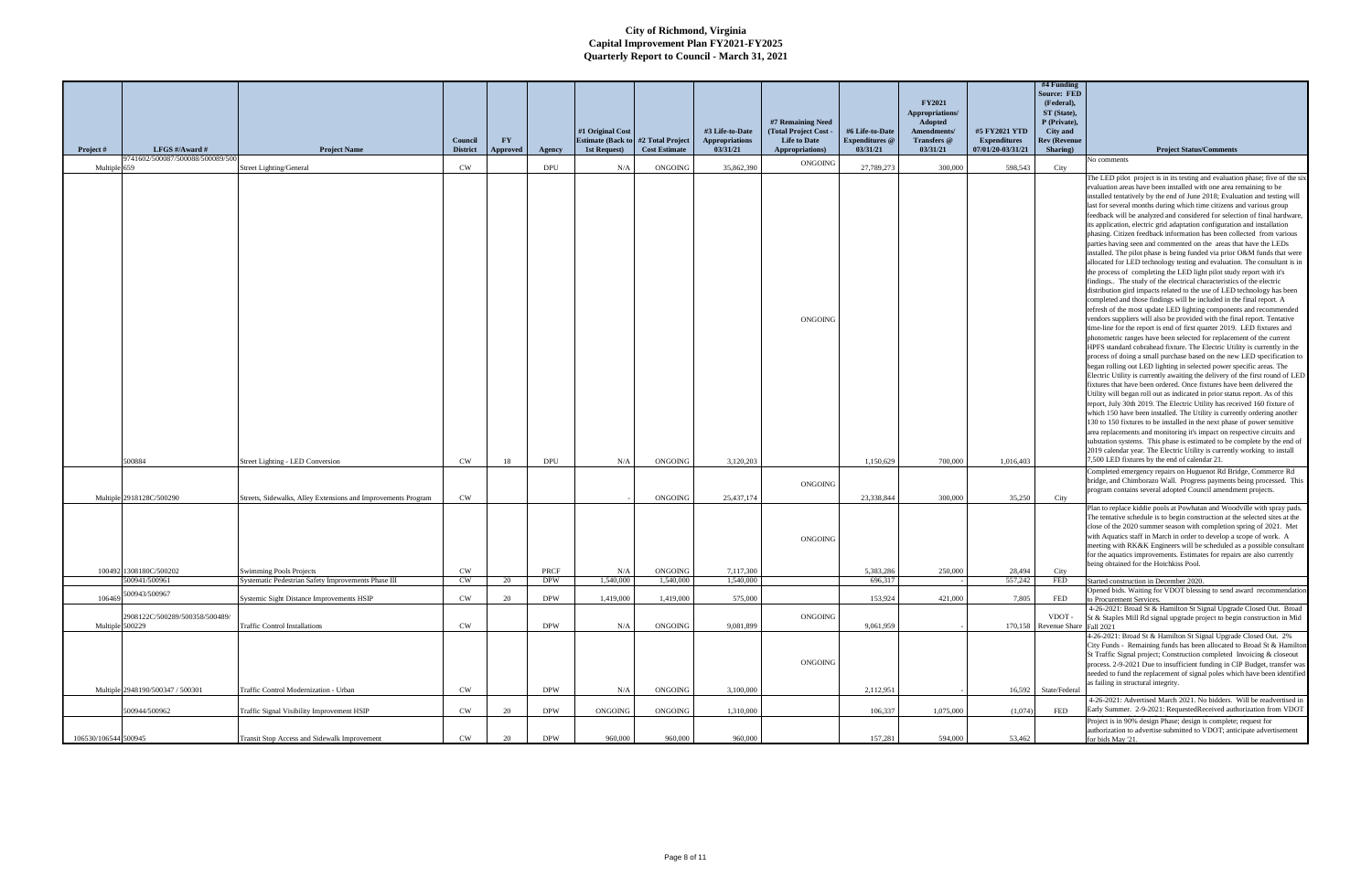|                      |                                  |                                                               |                            |                |            | #1 Original Cost                          |                                          | #3 Life-to-Date                   | #7 Remaining Need<br>(Total Project Cost - | #6 Life-to-Date                   | <b>FY2021</b><br>Appropriations/<br><b>Adopted</b><br>Amendments/ | #5 FY2021 YTD                            | #4 Funding<br><b>Source: FED</b><br>(Federal),<br>ST (State),<br>P (Private),<br>City and |                                                                                                                                                                                                                                                                                                                                                                                                                                                                                                                                                                                                                                                                                                                                                                                                                                                                                                                                                                                                                                                                                                                                                                                                                                                                                                                                                                                                                                                                                                                                                                                                                                                                                                                                                                                                                                                                                                                                                                                                                                                                                                                                                                                                                                                                                                                                    |
|----------------------|----------------------------------|---------------------------------------------------------------|----------------------------|----------------|------------|-------------------------------------------|------------------------------------------|-----------------------------------|--------------------------------------------|-----------------------------------|-------------------------------------------------------------------|------------------------------------------|-------------------------------------------------------------------------------------------|------------------------------------------------------------------------------------------------------------------------------------------------------------------------------------------------------------------------------------------------------------------------------------------------------------------------------------------------------------------------------------------------------------------------------------------------------------------------------------------------------------------------------------------------------------------------------------------------------------------------------------------------------------------------------------------------------------------------------------------------------------------------------------------------------------------------------------------------------------------------------------------------------------------------------------------------------------------------------------------------------------------------------------------------------------------------------------------------------------------------------------------------------------------------------------------------------------------------------------------------------------------------------------------------------------------------------------------------------------------------------------------------------------------------------------------------------------------------------------------------------------------------------------------------------------------------------------------------------------------------------------------------------------------------------------------------------------------------------------------------------------------------------------------------------------------------------------------------------------------------------------------------------------------------------------------------------------------------------------------------------------------------------------------------------------------------------------------------------------------------------------------------------------------------------------------------------------------------------------------------------------------------------------------------------------------------------------|
| Project #            | LFGS #/Award #                   | <b>Project Name</b>                                           | Council<br><b>District</b> | FY<br>Approved | Agency     | <b>Estimate (Back to)</b><br>1st Request) | #2 Total Project<br><b>Cost Estimate</b> | <b>Appropriations</b><br>03/31/21 | <b>Life to Date</b><br>Appropriations)     | <b>Expenditures</b> @<br>03/31/21 | Transfers @<br>03/31/21                                           | <b>Expenditures</b><br>07/01/20-03/31/21 | <b>Rev (Revenue</b><br>Sharing)                                                           | <b>Project Status/Comments</b>                                                                                                                                                                                                                                                                                                                                                                                                                                                                                                                                                                                                                                                                                                                                                                                                                                                                                                                                                                                                                                                                                                                                                                                                                                                                                                                                                                                                                                                                                                                                                                                                                                                                                                                                                                                                                                                                                                                                                                                                                                                                                                                                                                                                                                                                                                     |
| Multiple 659         | 9741602/500087/500088/500089/500 | <b>Street Lighting/General</b>                                | CW                         |                | DPU        | N/A                                       | ONGOING                                  | 35,862,390                        | ONGOING                                    | 27,789,273                        | 300,000                                                           | 598,543                                  | City                                                                                      | No comments                                                                                                                                                                                                                                                                                                                                                                                                                                                                                                                                                                                                                                                                                                                                                                                                                                                                                                                                                                                                                                                                                                                                                                                                                                                                                                                                                                                                                                                                                                                                                                                                                                                                                                                                                                                                                                                                                                                                                                                                                                                                                                                                                                                                                                                                                                                        |
|                      |                                  |                                                               |                            |                |            |                                           |                                          |                                   | <b>ONGOING</b>                             |                                   |                                                                   |                                          |                                                                                           | The LED pilot project is in its testing and evaluation phase; five of the six<br>evaluation areas have been installed with one area remaining to be<br>installed tentatively by the end of June 2018; Evaluation and testing will<br>last for several months during which time citizens and various group<br>feedback will be analyzed and considered for selection of final hardware,<br>its application, electric grid adaptation configuration and installation<br>phasing. Citizen feedback information has been collected from various<br>parties having seen and commented on the areas that have the LEDs<br>installed. The pilot phase is being funded via prior O&M funds that were<br>allocated for LED technology testing and evaluation. The consultant is in<br>the process of completing the LED light pilot study report with it's<br>findings The study of the electrical characteristics of the electric<br>distribution gird impacts related to the use of LED technology has been<br>completed and those findings will be included in the final report. A<br>refresh of the most update LED lighting components and recommended<br>vendors suppliers will also be provided with the final report. Tentative<br>time-line for the report is end of first quarter 2019. LED fixtures and<br>photometric ranges have been selected for replacement of the current<br>HPFS standard cobrahead fixture. The Electric Utility is currently in the<br>process of doing a small purchase based on the new LED specification to<br>began rolling out LED lighting in selected power specific areas. The<br>Electric Utility is currently awaiting the delivery of the first round of LED<br>fixtures that have been ordered. Once fixtures have been delivered the<br>Utility will began roll out as indicated in prior status report. As of this<br>report, July 30th 2019. The Electric Utility has received 160 fixture of<br>which 150 have been installed. The Utility is currently ordering another<br>130 to 150 fixtures to be installed in the next phase of power sensitive<br>area replacements and monitoring it's impact on respective circuits and<br>substation systems. This phase is estimated to be complete by the end of<br>2019 calendar year. The Electric Utility is currently working to install |
|                      | 500884                           | Street Lighting - LED Conversion                              | CW                         | 18             | <b>DPU</b> | N/A                                       | ONGOING                                  | 3,120,203                         |                                            | 1,150,629                         | 700,000                                                           | 1,016,403                                |                                                                                           | 7,500 LED fixtures by the end of calendar 21.<br>Completed emergency repairs on Huguenot Rd Bridge, Commerce Rd                                                                                                                                                                                                                                                                                                                                                                                                                                                                                                                                                                                                                                                                                                                                                                                                                                                                                                                                                                                                                                                                                                                                                                                                                                                                                                                                                                                                                                                                                                                                                                                                                                                                                                                                                                                                                                                                                                                                                                                                                                                                                                                                                                                                                    |
|                      |                                  |                                                               |                            |                |            |                                           |                                          |                                   | ONGOING                                    |                                   |                                                                   |                                          |                                                                                           | bridge, and Chimborazo Wall. Progress payments being processed. This<br>program contains several adopted Council amendment projects.                                                                                                                                                                                                                                                                                                                                                                                                                                                                                                                                                                                                                                                                                                                                                                                                                                                                                                                                                                                                                                                                                                                                                                                                                                                                                                                                                                                                                                                                                                                                                                                                                                                                                                                                                                                                                                                                                                                                                                                                                                                                                                                                                                                               |
|                      | Multiple 2918128C/500290         | Streets, Sidewalks, Alley Extensions and Improvements Program | CW                         |                |            |                                           | ONGOING                                  | 25,437,174                        |                                            | 23,338,844                        | 300,000                                                           | 35,250                                   | City                                                                                      |                                                                                                                                                                                                                                                                                                                                                                                                                                                                                                                                                                                                                                                                                                                                                                                                                                                                                                                                                                                                                                                                                                                                                                                                                                                                                                                                                                                                                                                                                                                                                                                                                                                                                                                                                                                                                                                                                                                                                                                                                                                                                                                                                                                                                                                                                                                                    |
|                      | 100492 1308180C/500202           | <b>Swimming Pools Projects</b>                                | CW                         |                | PRCF       | N/A                                       | <b>ONGOING</b>                           | 7,117,300                         | <b>ONGOING</b>                             | 5,383,286                         | 250,000                                                           | 28,494                                   | City                                                                                      | Plan to replace kiddie pools at Powhatan and Woodville with spray pads<br>The tentative schedule is to begin construction at the selected sites at the<br>close of the 2020 summer season with completion spring of 2021. Met<br>with Aquatics staff in March in order to develop a scope of work. A<br>meeting with RK&K Engineers will be scheduled as a possible consultant<br>for the aquatics improvements. Estimates for repairs are also currently<br>being obtained for the Hotchkiss Pool.                                                                                                                                                                                                                                                                                                                                                                                                                                                                                                                                                                                                                                                                                                                                                                                                                                                                                                                                                                                                                                                                                                                                                                                                                                                                                                                                                                                                                                                                                                                                                                                                                                                                                                                                                                                                                                |
|                      | 500941/500961                    | Systematic Pedestrian Safety Improvements Phase III           | $\mathrm{CW}$              |                | <b>DPW</b> | 1,540,000                                 | 1,540,000                                | 1,540,000                         |                                            | 696,317                           |                                                                   | 557,242                                  | <b>FED</b>                                                                                | Started construction in December 2020.<br>Opened bids. Waiting for VDOT blessing to send award recommendation                                                                                                                                                                                                                                                                                                                                                                                                                                                                                                                                                                                                                                                                                                                                                                                                                                                                                                                                                                                                                                                                                                                                                                                                                                                                                                                                                                                                                                                                                                                                                                                                                                                                                                                                                                                                                                                                                                                                                                                                                                                                                                                                                                                                                      |
| 106469               | 500943/500967                    | Systemic Sight Distance Improvements HSIP                     | CW                         | 20             | <b>DPW</b> | 1,419,000                                 | 1,419,000                                | 575,000                           |                                            | 153,924                           | 421,000                                                           | 7.805                                    | FED                                                                                       | to Procurement Services.                                                                                                                                                                                                                                                                                                                                                                                                                                                                                                                                                                                                                                                                                                                                                                                                                                                                                                                                                                                                                                                                                                                                                                                                                                                                                                                                                                                                                                                                                                                                                                                                                                                                                                                                                                                                                                                                                                                                                                                                                                                                                                                                                                                                                                                                                                           |
|                      | 2908122C/500289/500358/500489/   |                                                               |                            |                |            |                                           |                                          |                                   | ONGOING                                    |                                   |                                                                   |                                          | VDOT -                                                                                    | 4-26-2021: Broad St & Hamilton St Signal Upgrade Closed Out. Broad<br>St & Staples Mill Rd signal upgrade project to begin construction in Mid                                                                                                                                                                                                                                                                                                                                                                                                                                                                                                                                                                                                                                                                                                                                                                                                                                                                                                                                                                                                                                                                                                                                                                                                                                                                                                                                                                                                                                                                                                                                                                                                                                                                                                                                                                                                                                                                                                                                                                                                                                                                                                                                                                                     |
| Multiple 500229      |                                  | <b>Traffic Control Installations</b>                          | <b>CW</b>                  |                | <b>DPW</b> | N/A                                       | <b>ONGOING</b>                           | 9.081.899                         |                                            | 9,061,959                         |                                                                   |                                          | 170,158 Revenue Share Fall 2021                                                           |                                                                                                                                                                                                                                                                                                                                                                                                                                                                                                                                                                                                                                                                                                                                                                                                                                                                                                                                                                                                                                                                                                                                                                                                                                                                                                                                                                                                                                                                                                                                                                                                                                                                                                                                                                                                                                                                                                                                                                                                                                                                                                                                                                                                                                                                                                                                    |
|                      | Multiple 2948190/500347 / 500301 | Traffic Control Modernization - Urban                         | CW                         |                | <b>DPW</b> | N/A                                       | ONGOING                                  | 3,100,000                         | ONGOING                                    | 2,112,951                         |                                                                   | 16,592                                   | State/Federal                                                                             | 4-26-2021: Broad St & Hamilton St Signal Upgrade Closed Out. 2%<br>City Funds - Remaining funds has been allocated to Broad St & Hamilton<br>St Traffic Signal project; Construction completed Invoicing & closeout<br>process. 2-9-2021 Due to insufficient funding in CIP Budget, transfer was<br>needed to fund the replacement of signal poles which have been identified<br>as failing in structural integrity.                                                                                                                                                                                                                                                                                                                                                                                                                                                                                                                                                                                                                                                                                                                                                                                                                                                                                                                                                                                                                                                                                                                                                                                                                                                                                                                                                                                                                                                                                                                                                                                                                                                                                                                                                                                                                                                                                                               |
|                      | 500944/500962                    | Traffic Signal Visibility Improvement HSIP                    | CW                         | 20             | <b>DPW</b> | ONGOING                                   | ONGOING                                  | 1,310,000                         |                                            | 106,337                           | 1,075,000                                                         | (1,074)                                  | FED                                                                                       | 4-26-2021: Advertised March 2021. No bidders. Will be readvertised in<br>Early Summer. 2-9-2021: RequestedReceived authorization from VDOT                                                                                                                                                                                                                                                                                                                                                                                                                                                                                                                                                                                                                                                                                                                                                                                                                                                                                                                                                                                                                                                                                                                                                                                                                                                                                                                                                                                                                                                                                                                                                                                                                                                                                                                                                                                                                                                                                                                                                                                                                                                                                                                                                                                         |
| 106530/106544 500945 |                                  | Transit Stop Access and Sidewalk Improvement                  | CW                         | 20             | <b>DPW</b> | 960,000                                   | 960,000                                  | 960,000                           |                                            | 157,281                           | 594,000                                                           | 53,462                                   |                                                                                           | Project is in 90% design Phase; design is complete; request for<br>authorization to advertise submitted to VDOT; anticipate advertisement<br>for bids May '21.                                                                                                                                                                                                                                                                                                                                                                                                                                                                                                                                                                                                                                                                                                                                                                                                                                                                                                                                                                                                                                                                                                                                                                                                                                                                                                                                                                                                                                                                                                                                                                                                                                                                                                                                                                                                                                                                                                                                                                                                                                                                                                                                                                     |
|                      |                                  |                                                               |                            |                |            |                                           |                                          |                                   |                                            |                                   |                                                                   |                                          |                                                                                           |                                                                                                                                                                                                                                                                                                                                                                                                                                                                                                                                                                                                                                                                                                                                                                                                                                                                                                                                                                                                                                                                                                                                                                                                                                                                                                                                                                                                                                                                                                                                                                                                                                                                                                                                                                                                                                                                                                                                                                                                                                                                                                                                                                                                                                                                                                                                    |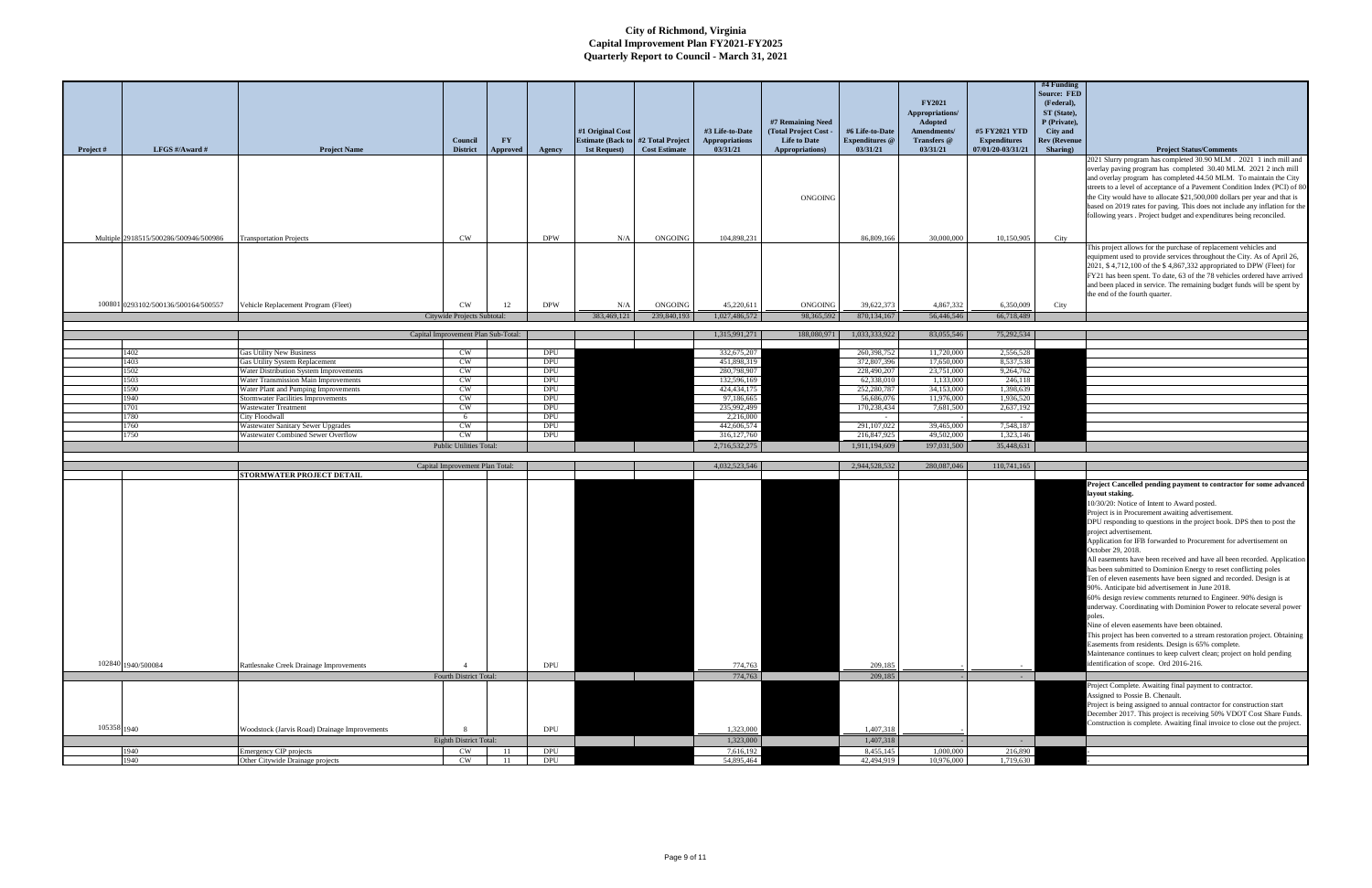|                                       |                                                                                |                                          |                       |                          |                  |                                                            |                                   |                                          |                                   | <b>FY2021</b>                             |                                          | #4 Funding<br><b>Source: FED</b><br>(Federal), |                                                                                                                                                                                                                                                                                                                                                                                                              |
|---------------------------------------|--------------------------------------------------------------------------------|------------------------------------------|-----------------------|--------------------------|------------------|------------------------------------------------------------|-----------------------------------|------------------------------------------|-----------------------------------|-------------------------------------------|------------------------------------------|------------------------------------------------|--------------------------------------------------------------------------------------------------------------------------------------------------------------------------------------------------------------------------------------------------------------------------------------------------------------------------------------------------------------------------------------------------------------|
|                                       |                                                                                |                                          |                       |                          | #1 Original Cost |                                                            | #3 Life-to-Date                   | #7 Remaining Need<br>(Total Project Cost | #6 Life-to-Date                   | Appropriations/<br>Adopted<br>Amendments/ | #5 FY2021 YTD                            | ST (State),<br>P (Private),<br>City and        |                                                                                                                                                                                                                                                                                                                                                                                                              |
| LFGS #/Award #<br>Project #           | <b>Project Name</b>                                                            | Council<br><b>District</b>               | FY<br><b>Approved</b> | Agency                   | 1st Request)     | <b>Estimate (Back to #2 Total Project</b><br>Cost Estimate | <b>Appropriations</b><br>03/31/21 | <b>Life to Date</b><br>Appropriations)   | <b>Expenditures</b> @<br>03/31/21 | Transfers @<br>03/31/21                   | <b>Expenditures</b><br>07/01/20-03/31/21 | <b>Rev (Revenue</b><br>Sharing)                | <b>Project Status/Comments</b>                                                                                                                                                                                                                                                                                                                                                                               |
|                                       |                                                                                |                                          |                       |                          |                  |                                                            |                                   |                                          |                                   |                                           |                                          |                                                | 2021 Slurry program has completed 30.90 MLM . 2021 1 inch mill and<br>overlay paving program has completed 30.40 MLM. 2021 2 inch mill<br>and overlay program has completed 44.50 MLM. To maintain the City                                                                                                                                                                                                  |
|                                       |                                                                                |                                          |                       |                          |                  |                                                            |                                   | ONGOING                                  |                                   |                                           |                                          |                                                | streets to a level of acceptance of a Pavement Condition Index (PCI) of 80<br>the City would have to allocate \$21,500,000 dollars per year and that is<br>based on 2019 rates for paving. This does not include any inflation for the<br>following years . Project budget and expenditures being reconciled.                                                                                                |
| Multiple 2918515/500286/500946/500986 | <b>Transportation Projects</b>                                                 | CW                                       |                       | <b>DPW</b>               | N/A              | ONGOING                                                    | 104,898,231                       |                                          | 86,809,166                        | 30,000,000                                | 10,150,905                               | City                                           |                                                                                                                                                                                                                                                                                                                                                                                                              |
|                                       |                                                                                |                                          |                       |                          |                  |                                                            |                                   |                                          |                                   |                                           |                                          |                                                | This project allows for the purchase of replacement vehicles and<br>equipment used to provide services throughout the City. As of April 26,<br>2021, \$4,712,100 of the \$4,867,332 appropriated to DPW (Fleet) for<br>FY21 has been spent. To date, 63 of the 78 vehicles ordered have arrived<br>and been placed in service. The remaining budget funds will be spent by<br>the end of the fourth quarter. |
| 100801 0293102/500136/500164/500557   | Vehicle Replacement Program (Fleet)                                            | <b>CW</b>                                | 12                    | <b>DPW</b>               | N/A              | <b>ONGOING</b>                                             | 45,220,611                        | ONGOING                                  | 39,622,373                        | 4,867,332                                 | 6,350,009                                | City                                           |                                                                                                                                                                                                                                                                                                                                                                                                              |
|                                       |                                                                                | Citywide Projects Subtotal:              |                       |                          | 383,469,121      | 239,840,193                                                | 1,027,486,572                     | 98,365,592                               | 870,134,167                       | 56,446,546                                | 66,718,489                               |                                                |                                                                                                                                                                                                                                                                                                                                                                                                              |
|                                       |                                                                                | Capital Improvement Plan Sub-Total:      |                       |                          |                  |                                                            | 1,315,991,271                     | 188,080,971                              | 1,033,333,922                     | 83,055,546                                | 75,292,534                               |                                                |                                                                                                                                                                                                                                                                                                                                                                                                              |
| 1402                                  | Gas Utility New Business                                                       | CW                                       |                       | DPU                      |                  |                                                            | 332,675,207                       |                                          | 260,398,752                       | 11,720,000                                | 2,556,528                                |                                                |                                                                                                                                                                                                                                                                                                                                                                                                              |
| 1403                                  | <b>Gas Utility System Replacement</b>                                          | CW                                       |                       | <b>DPU</b>               |                  |                                                            | 451,898,319                       |                                          | 372,807,396                       | 17,650,000                                | 8,537,538                                |                                                |                                                                                                                                                                                                                                                                                                                                                                                                              |
| 1502<br>1503                          | Water Distribution System Improvements<br>Water Transmission Main Improvements | CW<br>CW                                 |                       | <b>DPU</b><br><b>DPU</b> |                  |                                                            | 280,798,907<br>132,596,169        |                                          | 228,490,207<br>62,338,010         | 23,751,000<br>1,133,000                   | 9,264,762<br>246,118                     |                                                |                                                                                                                                                                                                                                                                                                                                                                                                              |
| 1590                                  | Water Plant and Pumping Improvements                                           | CW                                       |                       | DPU                      |                  |                                                            | 424, 434, 175                     |                                          | 252,280,787                       | 34,153,000                                | 1,398,639                                |                                                |                                                                                                                                                                                                                                                                                                                                                                                                              |
| 1940                                  | <b>Stormwater Facilities Improvements</b>                                      | CW<br>CW                                 |                       | DPU                      |                  |                                                            | 97,186,665                        |                                          | 56,686,076                        | 11,976,000                                | 1,936,520                                |                                                |                                                                                                                                                                                                                                                                                                                                                                                                              |
| 701<br>1780                           | <b>Wastewater Treatment</b><br>City Floodwall                                  | 6                                        |                       | <b>DPU</b><br><b>DPU</b> |                  |                                                            | 235,992,499<br>2,216,000          |                                          | 170,238,434<br>$\sim$             | 7,681,500                                 | 2,637,192<br>$\sim$                      |                                                |                                                                                                                                                                                                                                                                                                                                                                                                              |
| 760                                   | Wastewater Sanitary Sewer Upgrades                                             | CW                                       |                       | DPU                      |                  |                                                            | 442,606,574                       |                                          | 291,107,022                       | 39,465,000                                | 7,548,187                                |                                                |                                                                                                                                                                                                                                                                                                                                                                                                              |
| 750                                   | Wastewater Combined Sewer Overflow                                             | <b>CW</b>                                |                       | <b>DPU</b>               |                  |                                                            | 316, 127, 760                     |                                          | 216,847,925                       | 49,502,000                                | 1,323,146                                |                                                |                                                                                                                                                                                                                                                                                                                                                                                                              |
|                                       |                                                                                | <b>Public Utilities Total:</b>           |                       |                          |                  |                                                            | 2,716,532,275                     |                                          | 1,911,194,609                     | 197,031,500                               | 35,448,631                               |                                                |                                                                                                                                                                                                                                                                                                                                                                                                              |
|                                       |                                                                                | Capital Improvement Plan Total:          |                       |                          |                  |                                                            | 4,032,523,546                     |                                          | 2,944,528,532                     | 280,087,046                               | 110,741,165                              |                                                |                                                                                                                                                                                                                                                                                                                                                                                                              |
|                                       | STORMWATER PROJECT DETAIL                                                      |                                          |                       |                          |                  |                                                            |                                   |                                          |                                   |                                           |                                          |                                                | Project Cancelled pending payment to contractor for some advanced                                                                                                                                                                                                                                                                                                                                            |
|                                       |                                                                                |                                          |                       |                          |                  |                                                            |                                   |                                          |                                   |                                           |                                          |                                                | layout staking.<br>10/30/20: Notice of Intent to Award posted.                                                                                                                                                                                                                                                                                                                                               |
|                                       |                                                                                |                                          |                       |                          |                  |                                                            |                                   |                                          |                                   |                                           |                                          |                                                | Project is in Procurement awaiting advertisement.                                                                                                                                                                                                                                                                                                                                                            |
|                                       |                                                                                |                                          |                       |                          |                  |                                                            |                                   |                                          |                                   |                                           |                                          |                                                | DPU responding to questions in the project book. DPS then to post the<br>project advertisement.                                                                                                                                                                                                                                                                                                              |
|                                       |                                                                                |                                          |                       |                          |                  |                                                            |                                   |                                          |                                   |                                           |                                          |                                                | Application for IFB forwarded to Procurement for advertisement on                                                                                                                                                                                                                                                                                                                                            |
|                                       |                                                                                |                                          |                       |                          |                  |                                                            |                                   |                                          |                                   |                                           |                                          |                                                | October 29, 2018.                                                                                                                                                                                                                                                                                                                                                                                            |
|                                       |                                                                                |                                          |                       |                          |                  |                                                            |                                   |                                          |                                   |                                           |                                          |                                                | All easements have been received and have all been recorded. Application<br>has been submitted to Dominion Energy to reset conflicting poles                                                                                                                                                                                                                                                                 |
|                                       |                                                                                |                                          |                       |                          |                  |                                                            |                                   |                                          |                                   |                                           |                                          |                                                | Ten of eleven easements have been signed and recorded. Design is at                                                                                                                                                                                                                                                                                                                                          |
|                                       |                                                                                |                                          |                       |                          |                  |                                                            |                                   |                                          |                                   |                                           |                                          |                                                | 90%. Anticipate bid advertisement in June 2018.<br>60% design review comments returned to Engineer. 90% design is                                                                                                                                                                                                                                                                                            |
|                                       |                                                                                |                                          |                       |                          |                  |                                                            |                                   |                                          |                                   |                                           |                                          |                                                | underway. Coordinating with Dominion Power to relocate several power                                                                                                                                                                                                                                                                                                                                         |
|                                       |                                                                                |                                          |                       |                          |                  |                                                            |                                   |                                          |                                   |                                           |                                          |                                                | poles.                                                                                                                                                                                                                                                                                                                                                                                                       |
|                                       |                                                                                |                                          |                       |                          |                  |                                                            |                                   |                                          |                                   |                                           |                                          |                                                | Nine of eleven easements have been obtained.<br>This project has been converted to a stream restoration project. Obtaining                                                                                                                                                                                                                                                                                   |
|                                       |                                                                                |                                          |                       |                          |                  |                                                            |                                   |                                          |                                   |                                           |                                          |                                                | Easements from residents. Design is 65% complete.                                                                                                                                                                                                                                                                                                                                                            |
|                                       |                                                                                |                                          |                       |                          |                  |                                                            |                                   |                                          |                                   |                                           |                                          |                                                | Maintenance continues to keep culvert clean; project on hold pending<br>identification of scope. Ord 2016-216.                                                                                                                                                                                                                                                                                               |
| 102840 1940/500084                    | Rattlesnake Creek Drainage Improvements                                        | $\overline{4}$<br>Fourth District Total: |                       | DPU                      |                  |                                                            | 774,763<br>774,763                |                                          | 209,185<br>209,185                |                                           | $\sim$ $-$                               |                                                |                                                                                                                                                                                                                                                                                                                                                                                                              |
|                                       |                                                                                |                                          |                       |                          |                  |                                                            |                                   |                                          |                                   |                                           |                                          |                                                | Project Complete. Awaiting final payment to contractor.                                                                                                                                                                                                                                                                                                                                                      |
|                                       |                                                                                |                                          |                       |                          |                  |                                                            |                                   |                                          |                                   |                                           |                                          |                                                | Assigned to Possie B. Chenault.                                                                                                                                                                                                                                                                                                                                                                              |
|                                       |                                                                                |                                          |                       |                          |                  |                                                            |                                   |                                          |                                   |                                           |                                          |                                                | Project is being assigned to annual contractor for construction start<br>December 2017. This project is receiving 50% VDOT Cost Share Funds.                                                                                                                                                                                                                                                                 |
| 105358 1940                           |                                                                                | 8                                        |                       | <b>DPU</b>               |                  |                                                            |                                   |                                          |                                   |                                           |                                          |                                                | Construction is complete. Awaiting final invoice to close out the project.                                                                                                                                                                                                                                                                                                                                   |
|                                       | Woodstock (Jarvis Road) Drainage Improvements                                  | Eighth District Total:                   |                       |                          |                  |                                                            | 1,323,000<br>1,323,000            |                                          | 1,407,318<br>1,407,318            |                                           | $\sim 10^{-1}$                           |                                                |                                                                                                                                                                                                                                                                                                                                                                                                              |
| 1940                                  | Emergency CIP projects                                                         | CW                                       | -11                   | DPU                      |                  |                                                            | 7,616,192                         |                                          | 8,455,145                         | 1,000,000                                 | 216,890                                  |                                                |                                                                                                                                                                                                                                                                                                                                                                                                              |
| 1940                                  | Other Citywide Drainage projects                                               | CW                                       | <b>11</b>             | DPU                      |                  |                                                            | 54,895,464                        |                                          | 42,494,919                        | 10,976,000                                | 1,719,630                                |                                                |                                                                                                                                                                                                                                                                                                                                                                                                              |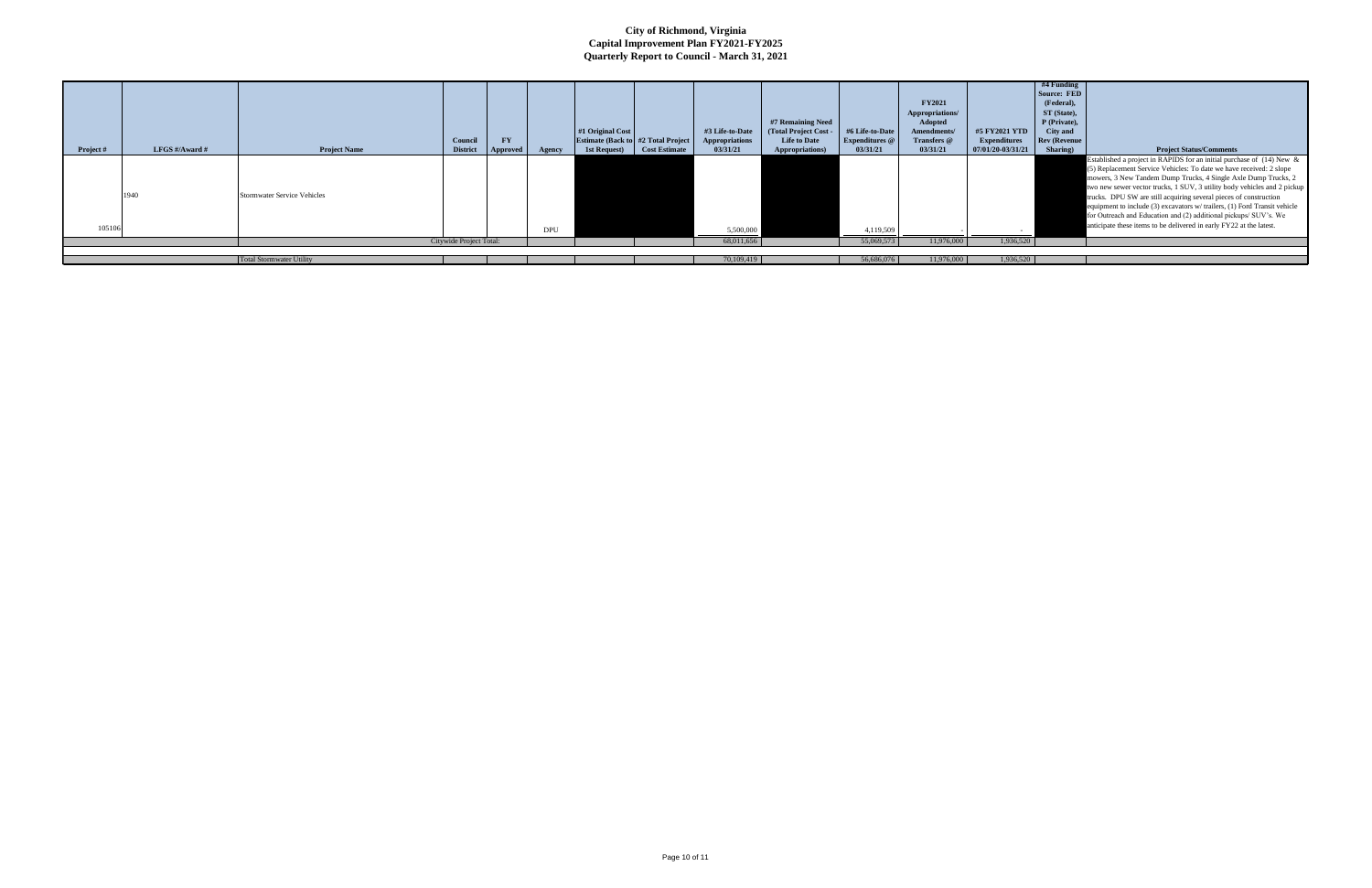|           |                |                                    | Council                 | <b>FY</b>       |            | #1 Original Cost<br><b>Estimate (Back to #2 Total Project</b> |                      | #3 Life-to-Date<br><b>Appropriations</b> | #7 Remaining Need<br>(Total Project Cost -<br><b>Life to Date</b> | #6 Life-to-Date<br><b>Expenditures</b> @ | <b>FY2021</b><br>Appropriations/<br>Adopted<br>Amendments/<br>Transfers @ | #5 FY2021 YTD<br><b>Expenditures</b> | #4 Funding<br>Source: FED<br>(Federal).<br>ST (State),<br>P (Private),<br>City and<br><b>Rev (Revenue</b> |                                                                                                                                                                                                                                                                                                                                                                                                                                                                                                                                                                                         |
|-----------|----------------|------------------------------------|-------------------------|-----------------|------------|---------------------------------------------------------------|----------------------|------------------------------------------|-------------------------------------------------------------------|------------------------------------------|---------------------------------------------------------------------------|--------------------------------------|-----------------------------------------------------------------------------------------------------------|-----------------------------------------------------------------------------------------------------------------------------------------------------------------------------------------------------------------------------------------------------------------------------------------------------------------------------------------------------------------------------------------------------------------------------------------------------------------------------------------------------------------------------------------------------------------------------------------|
| Project # | LFGS #/Award # | <b>Project Name</b>                | <b>District</b>         | <b>Approved</b> | Agency     | 1st Request                                                   | <b>Cost Estimate</b> | 03/31/21                                 | Appropriations)                                                   | 03/31/21                                 | 03/31/21                                                                  | 07/01/20-03/31/21                    | Sharing)                                                                                                  | <b>Project Status/Comments</b>                                                                                                                                                                                                                                                                                                                                                                                                                                                                                                                                                          |
|           | 1940           | <b>Stormwater Service Vehicles</b> |                         |                 |            |                                                               |                      |                                          |                                                                   |                                          |                                                                           |                                      |                                                                                                           | Established a project in RAPIDS for an initial purchase of (14) New &<br>(5) Replacement Service Vehicles: To date we have received: 2 slope<br>mowers, 3 New Tandem Dump Trucks, 4 Single Axle Dump Trucks, 2<br>two new sewer vector trucks, 1 SUV, 3 utility body vehicles and 2 pickup<br>trucks. DPU SW are still acquiring several pieces of construction<br>equipment to include (3) excavators w/ trailers, (1) Ford Transit vehicle<br>for Outreach and Education and (2) additional pickups/ SUV's. We<br>anticipate these items to be delivered in early FY22 at the latest. |
| 105106    |                |                                    |                         |                 | <b>DPU</b> |                                                               |                      | 5,500,000                                |                                                                   | 4,119,509                                |                                                                           |                                      |                                                                                                           |                                                                                                                                                                                                                                                                                                                                                                                                                                                                                                                                                                                         |
|           |                |                                    | Citywide Project Total: |                 |            |                                                               |                      | 68,011,656                               |                                                                   | 55,069,573                               | 11,976,000                                                                | 1,936,520                            |                                                                                                           |                                                                                                                                                                                                                                                                                                                                                                                                                                                                                                                                                                                         |
|           |                |                                    |                         |                 |            |                                                               |                      |                                          |                                                                   |                                          |                                                                           |                                      |                                                                                                           |                                                                                                                                                                                                                                                                                                                                                                                                                                                                                                                                                                                         |
|           |                | <b>Total Stormwater Utility</b>    |                         |                 |            |                                                               |                      | 70,109,419                               |                                                                   | 56,686,076                               | 11,976,000                                                                | 1,936,520                            |                                                                                                           |                                                                                                                                                                                                                                                                                                                                                                                                                                                                                                                                                                                         |